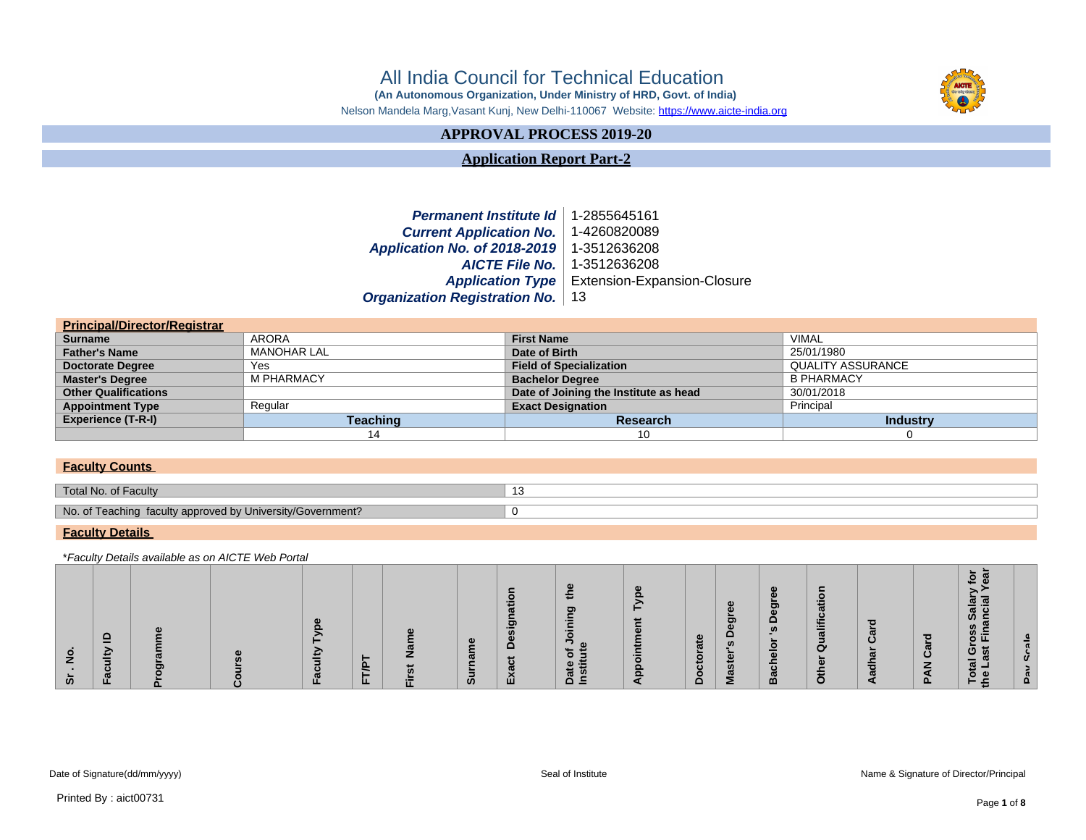# All India Council for Technical Education

 **(An Autonomous Organization, Under Ministry of HRD, Govt. of India)**



Nelson Mandela Marg,Vasant Kunj, New Delhi-110067 Website:<https://www.aicte-india.org>

# **APPROVAL PROCESS 2019-20**

**Application Report Part-2**

**Permanent Institute Id** 1-2855645161<br> **Current Application No.** 1-4260820089 **Current Application No. Application No. of 2018-2019** 1-3512636208 **AICTE File No.** 1-3512636208 **Application Type** Extension-Expansion-Closure **Organization Registration No.** 13

| <b>Principal/Director/Registrar</b> |                    |                                       |                          |
|-------------------------------------|--------------------|---------------------------------------|--------------------------|
| <b>Surname</b>                      | ARORA              | <b>First Name</b>                     | VIMAL                    |
| <b>Father's Name</b>                | <b>MANOHAR LAL</b> | Date of Birth                         | 25/01/1980               |
| <b>Doctorate Degree</b>             | Yes                | <b>Field of Specialization</b>        | <b>QUALITY ASSURANCE</b> |
| <b>Master's Degree</b>              | <b>M PHARMACY</b>  | <b>Bachelor Degree</b>                | <b>B PHARMACY</b>        |
| <b>Other Qualifications</b>         |                    | Date of Joining the Institute as head | 30/01/2018               |
| <b>Appointment Type</b>             | Regular            | <b>Exact Designation</b>              | Principal                |
| <b>Experience (T-R-I)</b>           | Teaching           | Research                              | <b>Industry</b>          |
|                                     | 14                 | 10                                    |                          |

### **Faculty Counts**

| Total No. of Faculty                                       | . . |
|------------------------------------------------------------|-----|
|                                                            |     |
| No. of Teaching faculty approved by University/Government? |     |
|                                                            |     |

#### **Faculty Details**

\*Faculty Details available as on AICTE Web Portal

| $\frac{9}{2}$<br><b>Contract</b> | $\mathbf{a}$<br>aculty | ರಾ | ξ<br>acu |     | £<br>$\overline{5}$ | Surname | esign<br>᠊ ㅎ | ≎<br>r Joining<br>.e<br>ㅎ<br>Date<br>Institu | ₩<br>ppointr | rate<br>ctor<br>$\circ$ | $\mathbf{e}$<br>Master's Degr | 's Degr<br><b>Bachelor</b> | atio<br>Other Qualific | Čār<br><u>ក្រ</u><br>dh | PAN Card | ے<br>Salar<br>Incial<br><b>Total Gross S</b><br>he Last Finar | <b>Pav Scale</b> |
|----------------------------------|------------------------|----|----------|-----|---------------------|---------|--------------|----------------------------------------------|--------------|-------------------------|-------------------------------|----------------------------|------------------------|-------------------------|----------|---------------------------------------------------------------|------------------|
| ້ທ                               | ш                      | ௨  | щ        | FTP | 证                   |         | Exa          |                                              |              | $\Omega$                |                               |                            |                        |                         |          | ⊢∉                                                            |                  |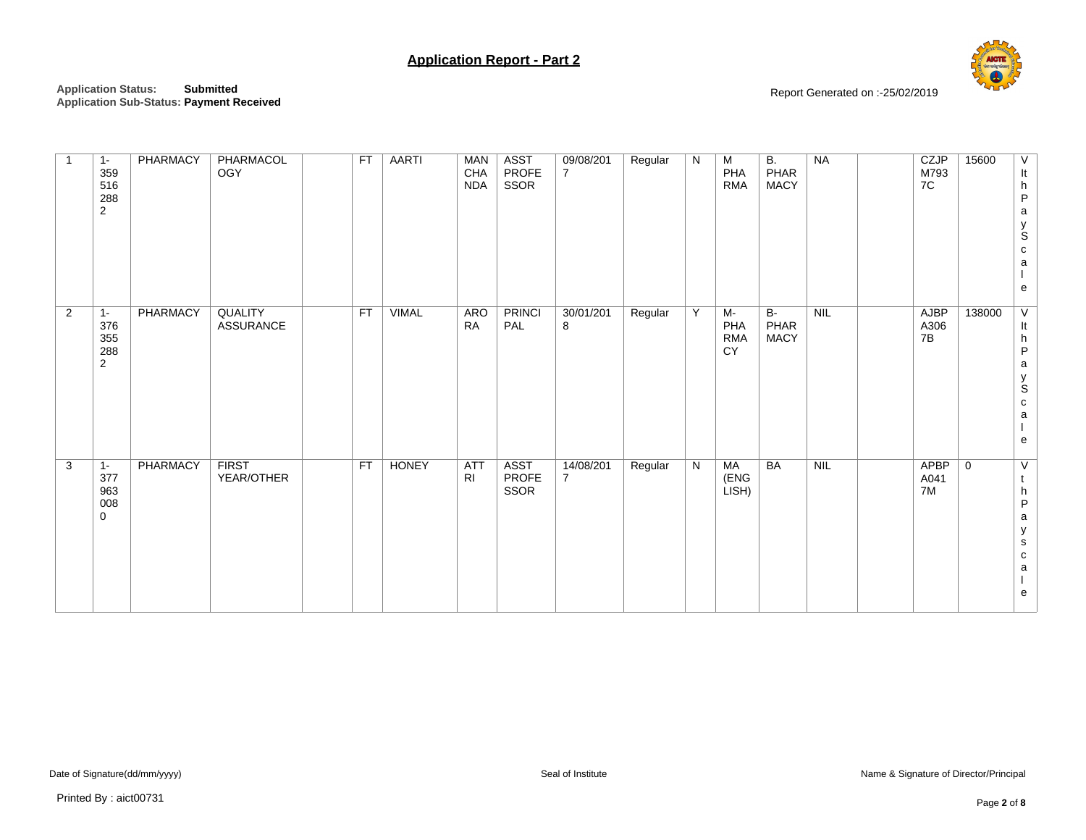

| $\overline{1}$ | $1 -$<br>359<br>516<br>288<br>$\overline{2}$ | PHARMACY | PHARMACOL<br>OGY                   | <b>FT</b> | <b>AARTI</b> | <b>MAN</b><br>CHA<br><b>NDA</b> | <b>ASST</b><br>PROFE<br>SSOR | 09/08/201<br>$\overline{7}$ | Regular | N | M<br>PHA<br><b>RMA</b>        | <b>B.</b><br>PHAR<br><b>MACY</b> | <b>NA</b>  | CZJP<br>M793<br>7C        | 15600          | V<br>It<br>${\sf h}$<br>$\sf P$<br>a<br>y<br>S<br>$\mathtt{C}$<br>a<br>e                         |
|----------------|----------------------------------------------|----------|------------------------------------|-----------|--------------|---------------------------------|------------------------------|-----------------------------|---------|---|-------------------------------|----------------------------------|------------|---------------------------|----------------|--------------------------------------------------------------------------------------------------|
| $\overline{2}$ | $1 -$<br>376<br>355<br>288<br>2              | PHARMACY | <b>QUALITY</b><br><b>ASSURANCE</b> | <b>FT</b> | <b>VIMAL</b> | <b>ARO</b><br><b>RA</b>         | <b>PRINCI</b><br>PAL         | 30/01/201<br>8              | Regular | Y | M-<br>PHA<br><b>RMA</b><br>CY | $B-$<br>PHAR<br><b>MACY</b>      | <b>NIL</b> | AJBP<br>A306<br>7B        | 138000         | $\overline{\mathsf{v}}$<br>It<br>${\sf h}$<br>P<br>$\mathsf{a}$<br>y<br>S<br>${\bf c}$<br>a<br>e |
| $\mathbf{3}$   | $1 -$<br>377<br>963<br>008<br>$\mathbf 0$    | PHARMACY | <b>FIRST</b><br>YEAR/OTHER         | <b>FT</b> | <b>HONEY</b> | <b>ATT</b><br>R <sub>l</sub>    | <b>ASST</b><br>PROFE<br>SSOR | 14/08/201<br>$\overline{7}$ | Regular | N | <b>MA</b><br>(ENG<br>LISH)    | BA                               | NIL        | <b>APBP</b><br>A041<br>7M | $\overline{0}$ | $\overline{\vee}$<br>t<br>${\sf h}$<br>P<br>a<br>у<br>${\bf s}$<br>${\bf c}$<br>a<br>e           |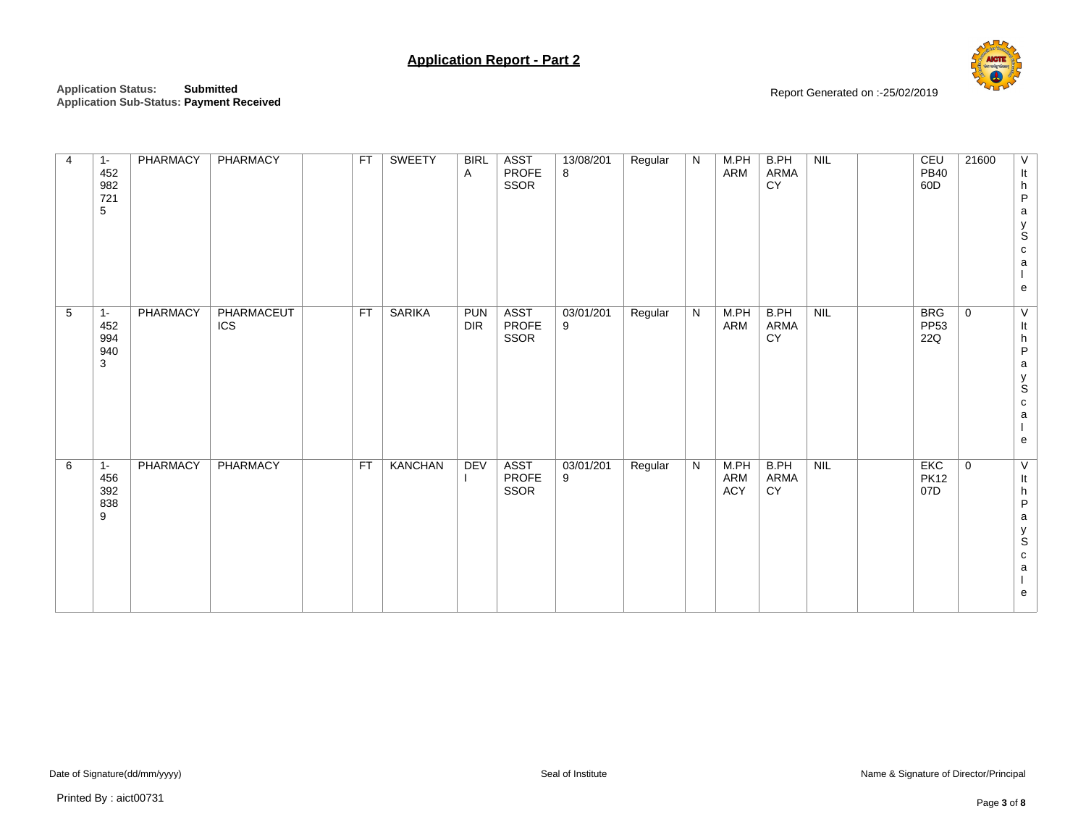

| $\overline{4}$ | $1 -$<br>452<br>982<br>721<br>$\,$ 5 $\,$  | PHARMACY | PHARMACY          | <b>FT</b> | <b>SWEETY</b>  | <b>BIRL</b><br>Α  | <b>ASST</b><br><b>PROFE</b><br>SSOR | 13/08/201<br>8 | Regular | N              | M.PH<br>ARM        | B.PH<br>ARMA<br>CY | NIL | <b>CEU</b><br><b>PB40</b><br>60D | 21600<br>V<br>It<br>$\boldsymbol{\mathsf{h}}$<br>$\sf P$<br>a<br>y<br>S<br>${\bf c}$<br>$\mathsf a$<br>e |
|----------------|--------------------------------------------|----------|-------------------|-----------|----------------|-------------------|-------------------------------------|----------------|---------|----------------|--------------------|--------------------|-----|----------------------------------|----------------------------------------------------------------------------------------------------------|
| 5              | $1 -$<br>452<br>994<br>940<br>$\mathbf{3}$ | PHARMACY | PHARMACEUT<br>ICS | <b>FT</b> | <b>SARIKA</b>  | <b>PUN</b><br>DIR | <b>ASST</b><br>PROFE<br>SSOR        | 03/01/201<br>9 | Regular | $\overline{N}$ | M.PH<br>ARM        | B.PH<br>ARMA<br>CY | NIL | <b>BRG</b><br><b>PP53</b><br>22Q | $\mathbf 0$<br>V<br>It<br>h<br>P<br>$\mathsf a$<br>y<br>S<br>c<br>a<br>e                                 |
| 6              | $1 -$<br>456<br>392<br>838<br>9            | PHARMACY | PHARMACY          | <b>FT</b> | <b>KANCHAN</b> | DEV               | <b>ASST</b><br>PROFE<br>SSOR        | 03/01/201<br>9 | Regular | $\overline{N}$ | M.PH<br>ARM<br>ACY | B.PH<br>ARMA<br>CY | NIL | <b>EKC</b><br><b>PK12</b><br>07D | $\mathbf 0$<br>V<br>It<br>h<br>P<br>$\mathsf a$<br>y<br>S<br>$\mathtt{C}$<br>$\mathsf a$<br>e            |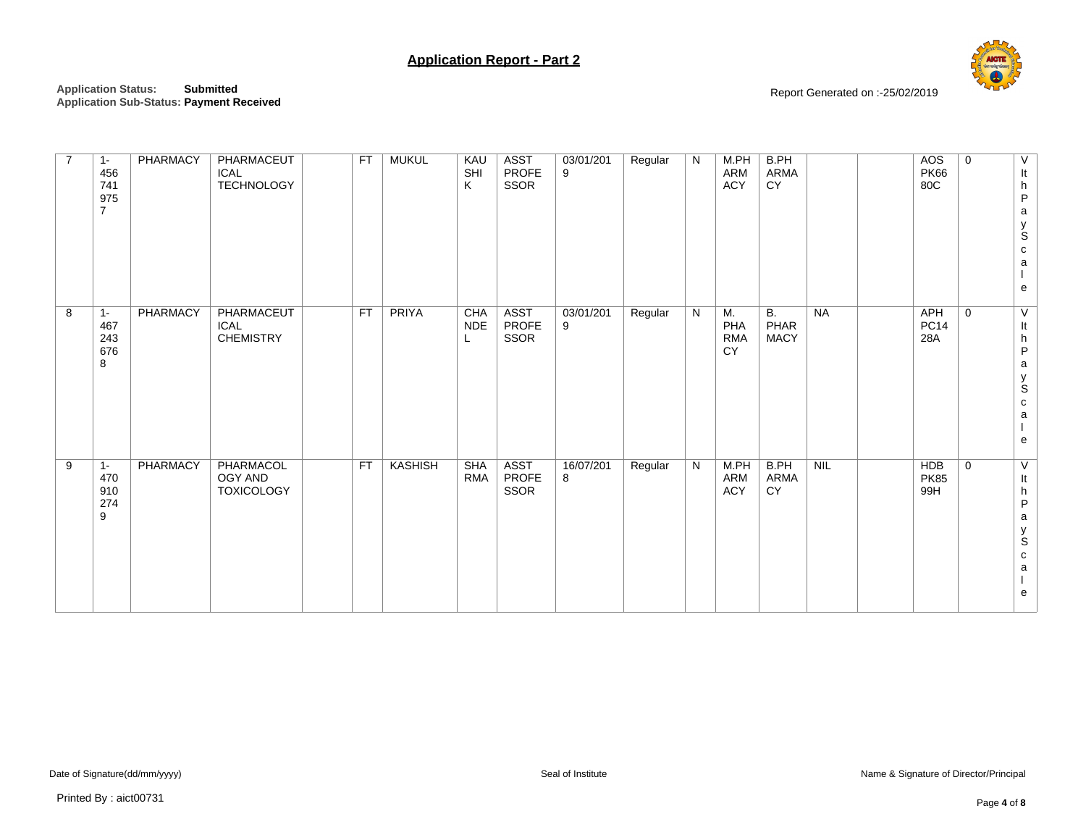

| $\overline{7}$ | $1 -$<br>456<br>741<br>975<br>$\overline{7}$ | PHARMACY | PHARMACEUT<br><b>ICAL</b><br><b>TECHNOLOGY</b> | <b>FT</b> | <b>MUKUL</b>   | KAU<br>SHI<br>Κ        | <b>ASST</b><br><b>PROFE</b><br>SSOR | 03/01/201<br>9 | Regular | N         | M.PH<br>ARM<br>ACY                   | B.PH<br>ARMA<br>CY                      |     | <b>AOS</b><br><b>PK66</b><br>80C | $\mathbf 0$ | V<br>It<br>h<br>$\sf P$<br>a<br>y<br>S<br>${\bf c}$<br>$\mathsf{a}$<br>e                                                            |
|----------------|----------------------------------------------|----------|------------------------------------------------|-----------|----------------|------------------------|-------------------------------------|----------------|---------|-----------|--------------------------------------|-----------------------------------------|-----|----------------------------------|-------------|-------------------------------------------------------------------------------------------------------------------------------------|
| 8              | $1 -$<br>467<br>243<br>676<br>8              | PHARMACY | PHARMACEUT<br><b>ICAL</b><br><b>CHEMISTRY</b>  | <b>FT</b> | PRIYA          | CHA<br><b>NDE</b><br>L | <b>ASST</b><br><b>PROFE</b><br>SSOR | 03/01/201<br>9 | Regular | ${\sf N}$ | M.<br>PHA<br><b>RMA</b><br><b>CY</b> | $\overline{B}$ .<br>PHAR<br><b>MACY</b> | NA  | <b>APH</b><br><b>PC14</b><br>28A | $\mathbf 0$ | $\overline{V}$<br>It<br>$\boldsymbol{\mathsf{h}}$<br>$\sf P$<br>$\mathsf a$<br>$_{\rm S}^{\rm y}$<br>$\mathbf{C}$<br>a<br>${\bf e}$ |
| 9              | $1 -$<br>470<br>910<br>274<br>9              | PHARMACY | PHARMACOL<br>OGY AND<br><b>TOXICOLOGY</b>      | <b>FT</b> | <b>KASHISH</b> | SHA<br><b>RMA</b>      | <b>ASST</b><br>PROFE<br>SSOR        | 16/07/201<br>8 | Regular | N         | M.PH<br>ARM<br><b>ACY</b>            | B.PH<br>ARMA<br>CY                      | NIL | <b>HDB</b><br><b>PK85</b><br>99H | $\mathbf 0$ | V<br>$\ensuremath{\mathsf{It}}\xspace$<br>h<br>$\sf P$<br>$\mathsf a$<br>$_{\rm S}^{\rm y}$<br>${\bf c}$<br>a<br>e                  |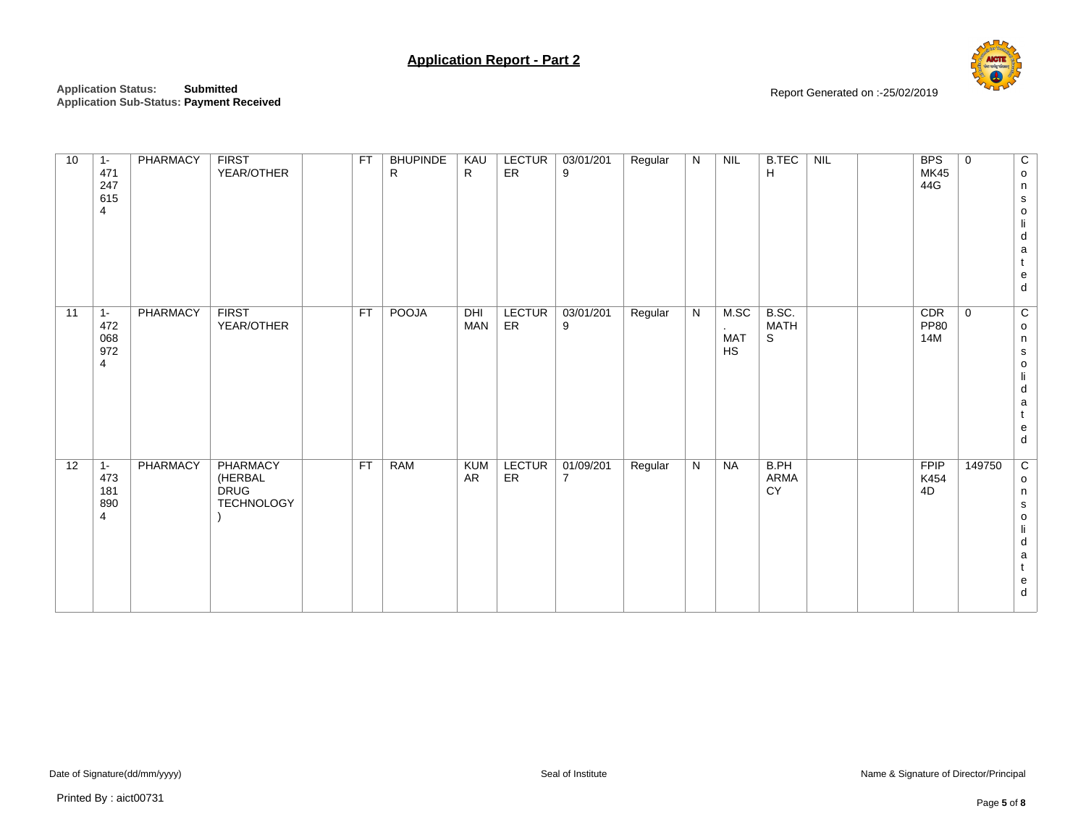

| 10 | $1 -$<br>471<br>247<br>615<br>$\overline{4}$ | PHARMACY | <b>FIRST</b><br>YEAR/OTHER                                     | <b>FT</b> | <b>BHUPINDE</b><br>R | KAU<br>$\mathsf{R}$     | <b>LECTUR</b><br>ER | 03/01/201<br>9              | Regular | N | NIL                             | <b>B.TEC</b><br>H         | NIL | <b>BPS</b><br><b>MK45</b><br>44G | $\mathbf 0$ | C<br>$\mathsf{o}$<br>n<br>${\bf s}$<br>$\mathsf{o}$<br>$\mathsf{I} \mathsf{i}$<br>d<br>$\mathsf a$<br>$\mathbf{t}$<br>$\mathsf{e}% _{t}\left( t\right)$<br>$\sf d$  |
|----|----------------------------------------------|----------|----------------------------------------------------------------|-----------|----------------------|-------------------------|---------------------|-----------------------------|---------|---|---------------------------------|---------------------------|-----|----------------------------------|-------------|---------------------------------------------------------------------------------------------------------------------------------------------------------------------|
| 11 | $1 -$<br>472<br>068<br>972<br>$\overline{4}$ | PHARMACY | <b>FIRST</b><br>YEAR/OTHER                                     | <b>FT</b> | <b>POOJA</b>         | DHI<br><b>MAN</b>       | <b>LECTUR</b><br>ER | 03/01/201<br>9              | Regular | N | M.SC<br><b>MAT</b><br><b>HS</b> | B.SC.<br><b>MATH</b><br>S |     | CDR<br><b>PP80</b><br>14M        | $\mathbf 0$ | $\overline{c}$<br>$\mathsf{o}$<br>n<br>${\tt S}$<br>$\mathsf{o}$<br>$\mathsf{I} \mathsf{i}$<br>${\sf d}$<br>$\mathsf a$<br>$\mathsf{t}$<br>${\bf e}$<br>${\sf d}$   |
| 12 | $1 -$<br>473<br>181<br>890<br>$\overline{4}$ | PHARMACY | <b>PHARMACY</b><br>(HERBAL<br><b>DRUG</b><br><b>TECHNOLOGY</b> | <b>FT</b> | <b>RAM</b>           | <b>KUM</b><br><b>AR</b> | <b>LECTUR</b><br>ER | 01/09/201<br>$\overline{7}$ | Regular | N | <b>NA</b>                       | B.PH<br>ARMA<br>CY        |     | <b>FPIP</b><br>K454<br>4D        | 149750      | $\overline{c}$<br>$\mathsf{o}$<br>$\mathsf n$<br>${\tt S}$<br>$\mathsf{o}$<br>$\mathsf{I} \mathsf{i}$<br>${\sf d}$<br>$\mathsf a$<br>$\mathsf{t}$<br>${\bf e}$<br>d |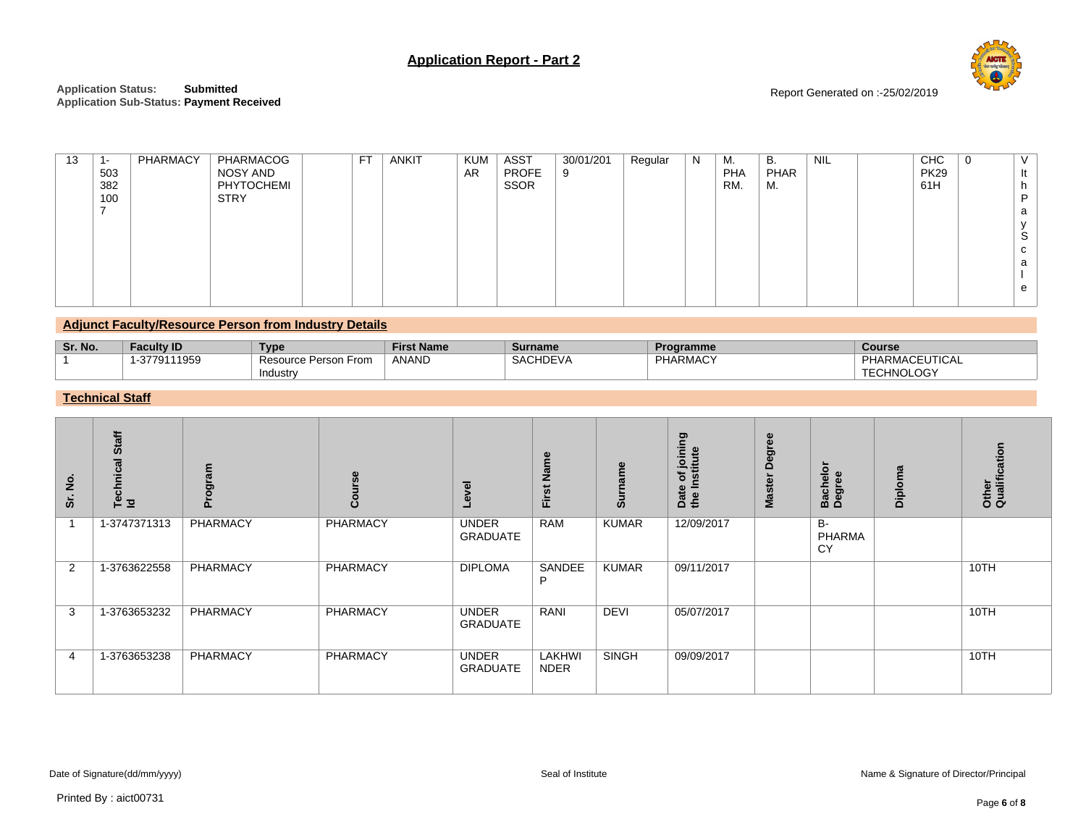

Report Generated on :-25/02/2019

| 13 | 1-<br>503<br>382<br>100 | PHARMACY | PHARMACOG<br>NOSY AND<br>PHYTOCHEMI<br><b>STRY</b> | <b>FT</b> | <b>ANKIT</b> | <b>KUM</b><br><b>AR</b> | <b>ASST</b><br>PROFE<br><b>SSOR</b> | 30/01/201<br>9 | Regular | N | М.<br><b>PHA</b><br>RM. | В.<br>PHAR<br>М. | <b>NIL</b> | <b>CHC</b><br><b>PK29</b><br>61H | 0 | It<br>n<br>a<br>$\mathbf{v}$<br>S.<br>C<br>a |
|----|-------------------------|----------|----------------------------------------------------|-----------|--------------|-------------------------|-------------------------------------|----------------|---------|---|-------------------------|------------------|------------|----------------------------------|---|----------------------------------------------|
|    |                         |          |                                                    |           |              |                         |                                     |                |         |   |                         |                  |            |                                  |   |                                              |
|    |                         |          |                                                    |           |              |                         |                                     |                |         |   |                         |                  |            |                                  |   |                                              |
|    |                         |          |                                                    |           |              |                         |                                     |                |         |   |                         |                  |            |                                  |   | e                                            |

### **Adjunct Faculty/Resource Person from Industry Details**

| Sr. No. | Facultv ID            | Type                                     | <b>First Name</b> | <b>Surname</b>  | <b>Programme</b> | Course                                                                       |
|---------|-----------------------|------------------------------------------|-------------------|-----------------|------------------|------------------------------------------------------------------------------|
|         | 11959<br>27704<br>-37 | Resource '<br>From<br>Person<br>Industry | <b>ANAND</b>      | <b>SACHDEVA</b> | <b>PHARMACY</b>  | <b>TICAL</b><br><b>PHARM</b><br>$\boldsymbol{A}$<br><b><i>FECHNOLOGY</i></b> |
|         |                       |                                          |                   |                 |                  |                                                                              |

## **Technical Staff**

| $\frac{1}{2}$<br>ີ່ ຈ | Technical Staff<br>Id | ogram<br>௳ | Course          | evel                            | Name<br>First         | <b>Surname</b> | joining<br><b>stitute</b><br>৳<br>the Ir<br>Date | Degree<br><b>Master</b> | Bachelor<br>Degree        | ra<br>Dipl | Other<br>Qualification |
|-----------------------|-----------------------|------------|-----------------|---------------------------------|-----------------------|----------------|--------------------------------------------------|-------------------------|---------------------------|------------|------------------------|
| $\overline{1}$        | 1-3747371313          | PHARMACY   | PHARMACY        | <b>UNDER</b><br><b>GRADUATE</b> | <b>RAM</b>            | <b>KUMAR</b>   | 12/09/2017                                       |                         | <b>B-</b><br>PHARMA<br>CY |            |                        |
| 2                     | 1-3763622558          | PHARMACY   | <b>PHARMACY</b> | <b>DIPLOMA</b>                  | SANDEE<br>P           | <b>KUMAR</b>   | 09/11/2017                                       |                         |                           |            | 10TH                   |
| 3                     | 1-3763653232          | PHARMACY   | PHARMACY        | <b>UNDER</b><br><b>GRADUATE</b> | RANI                  | <b>DEVI</b>    | 05/07/2017                                       |                         |                           |            | 10TH                   |
| $\overline{4}$        | 1-3763653238          | PHARMACY   | <b>PHARMACY</b> | <b>UNDER</b><br><b>GRADUATE</b> | LAKHWI<br><b>NDER</b> | <b>SINGH</b>   | 09/09/2017                                       |                         |                           |            | 10TH                   |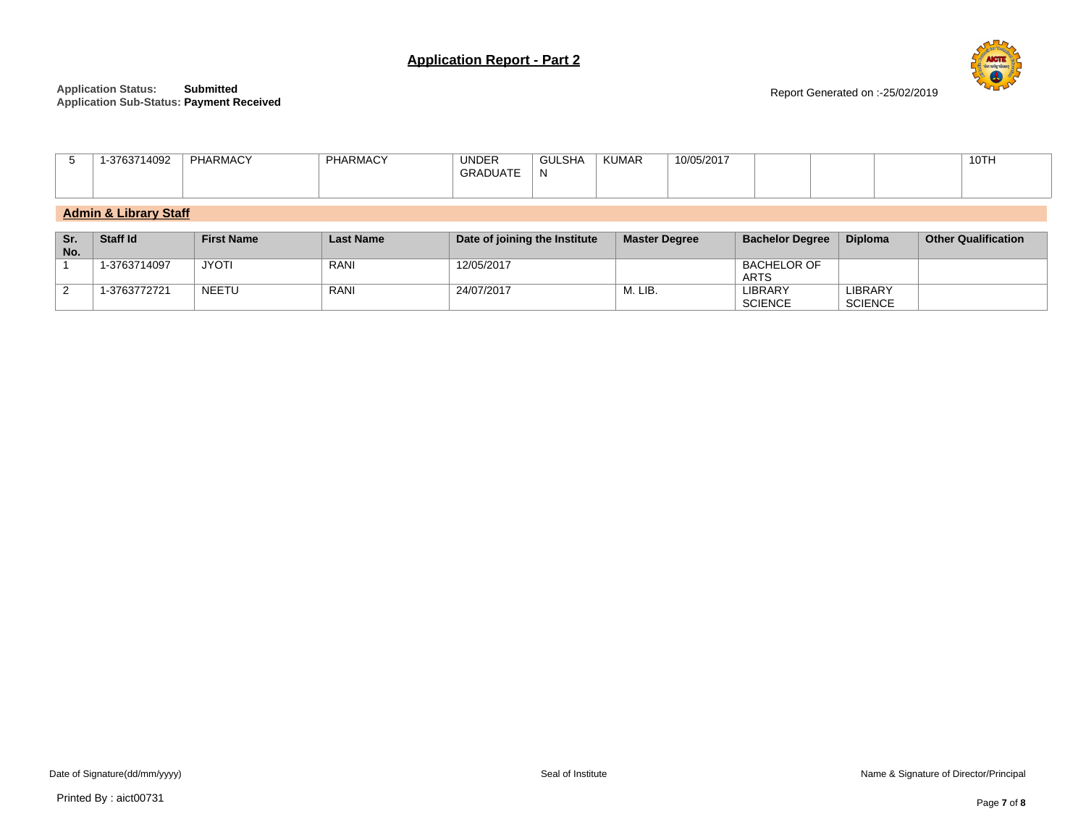



Report Generated on :-25/02/2019

| <b>KUMAR</b><br><b>UNDER</b><br>PHARMACY<br><b>GULSHA</b><br><b>ARMACY</b><br>10/05/2017<br>14002<br>$\cdots$<br>$\sim$ $\sim$ $\sim$<br>ΙV<br>$-$ JAIL | 10TH |
|---------------------------------------------------------------------------------------------------------------------------------------------------------|------|
|---------------------------------------------------------------------------------------------------------------------------------------------------------|------|

# **Admin & Library Staff**

| Sr.<br>No. | <b>Staff Id</b> | <b>First Name</b> | <b>Last Name</b> | Date of joining the Institute | <b>Master Degree</b> | <b>Bachelor Degree</b>            | <b>Diploma</b>            | <b>Other Qualification</b> |
|------------|-----------------|-------------------|------------------|-------------------------------|----------------------|-----------------------------------|---------------------------|----------------------------|
|            | 1-3763714097    | <b>JYOTI</b>      | RANI             | 12/05/2017                    |                      | <b>BACHELOR OF</b><br><b>ARTS</b> |                           |                            |
|            | 1-3763772721    | NEETU             | RANI             | 24/07/2017                    | M. LIB.              | <b>LIBRARY</b><br><b>SCIENCE</b>  | LIBRARY<br><b>SCIENCE</b> |                            |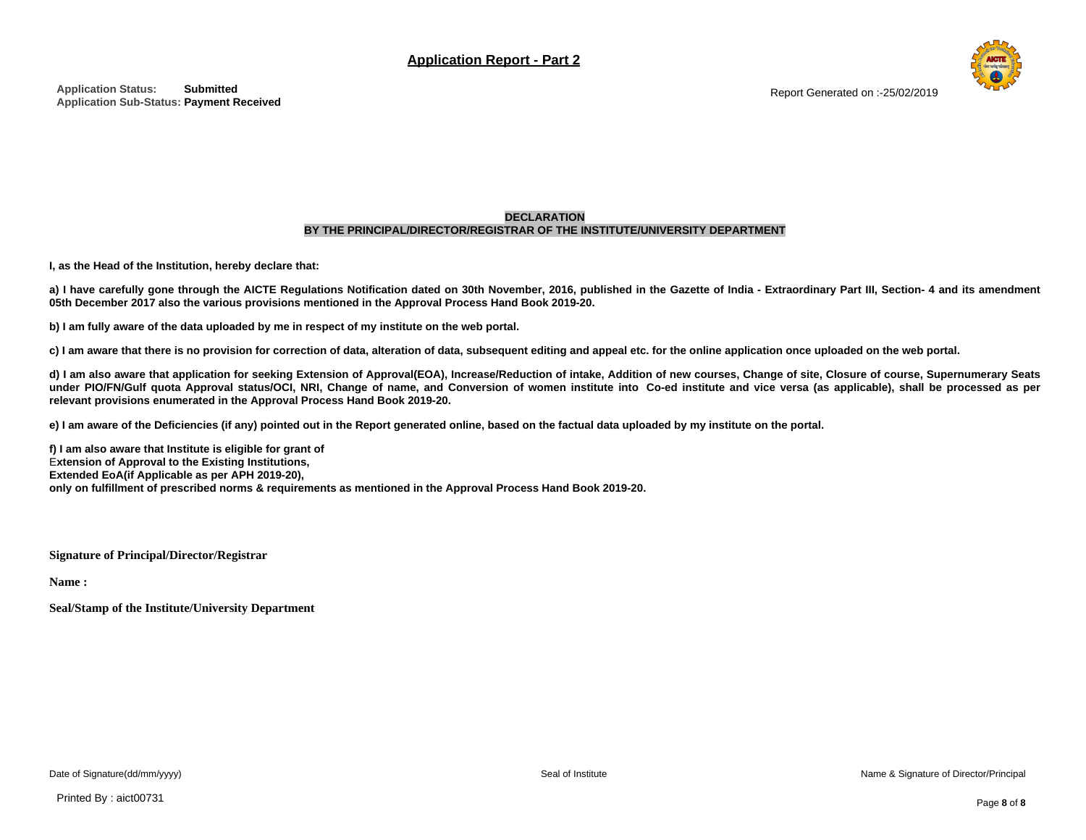

#### **DECLARATION BY THE PRINCIPAL/DIRECTOR/REGISTRAR OF THE INSTITUTE/UNIVERSITY DEPARTMENT**

**I, as the Head of the Institution, hereby declare that:**

a) I have carefully gone through the AICTE Regulations Notification dated on 30th November, 2016, published in the Gazette of India - Extraordinary Part III, Section- 4 and its amendment **05th December 2017 also the various provisions mentioned in the Approval Process Hand Book 2019-20.**

b) I am fully aware of the data uploaded by me in respect of my institute on the web portal.

c) I am aware that there is no provision for correction of data, alteration of data, subsequent editing and appeal etc. for the online application once uploaded on the web portal.

d) I am also aware that application for seeking Extension of Approval(EOA), Increase/Reduction of intake, Addition of new courses, Change of site, Closure of course, Supernumerary Seats under PIO/FN/Gulf quota Approval status/OCI, NRI, Change of name, and Conversion of women institute into Co-ed institute and vice versa (as applicable), shall be processed as per **relevant provisions enumerated in the Approval Process Hand Book 2019-20.**

e) I am aware of the Deficiencies (if any) pointed out in the Report generated online, based on the factual data uploaded by my institute on the portal.

**f) I am also aware that Institute is eligible for grant of** E**xtension of Approval to the Existing Institutions, Extended EoA(if Applicable as per APH 2019-20),** only on fulfillment of prescribed norms & requirements as mentioned in the Approval Process Hand Book 2019-20.

**Signature of Principal/Director/Registrar**

**Name :**

**Seal/Stamp of the Institute/University Department**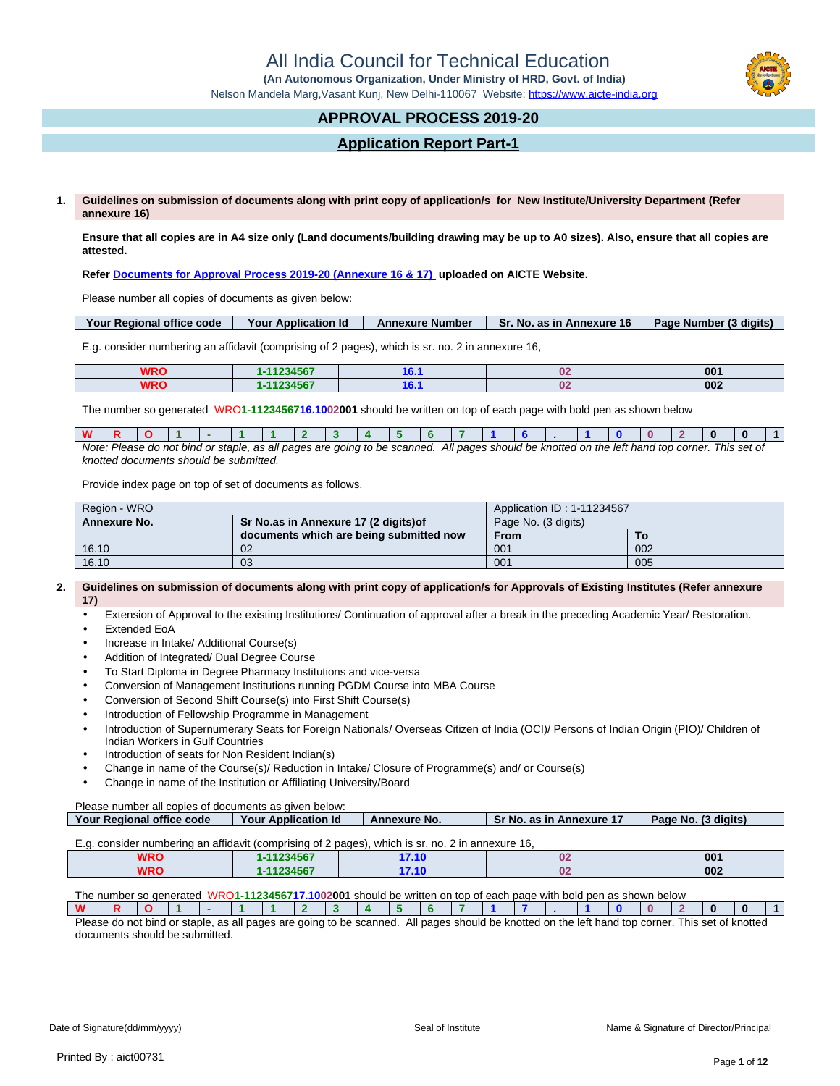All India Council for Technical Education

 **(An Autonomous Organization, Under Ministry of HRD, Govt. of India)**

Nelson Mandela Marg,Vasant Kunj, New Delhi-110067 Website:<https://www.aicte-india.org>

# **APPROVAL PROCESS 2019-20**

# **Application Report Part-1**

**1. Guidelines on submission of documents along with print copy of application/s for New Institute/University Department (Refer annexure 16)**

**Ensure that all copies are in A4 size only (Land documents/building drawing may be up to A0 sizes). Also, ensure that all copies are attested.**

**Refer [Documents for Approval Process 2019-20 \(Annexure 16 & 17\)](https://www.aicte-india.org/sites/default/files/Annexure_16_17.pdf) uploaded on AICTE Website.**

Please number all copies of documents as given below:

| Your Regional office code | Your Application Id | <b>Annexure Number</b> | <b>Sr. No. as in Annexure 16</b> | Page Number (3 digits) |
|---------------------------|---------------------|------------------------|----------------------------------|------------------------|
|                           |                     |                        |                                  |                        |

E.g. consider numbering an affidavit (comprising of 2 pages), which is sr. no. 2 in annexure 16,

| <b>WRO</b> | $4400$ $150T$<br>20 W<br>4307 | . . | n.        | 001 |
|------------|-------------------------------|-----|-----------|-----|
| WRO        | 14004507<br>$\mathbf{A}$<br>. | . . | n.<br>. . | 002 |

The number so generated WRO**1-1123456716.1002001** should be written on top of each page with bold pen as shown below

| W |  |                                        |  |  |  |                                                                                                                                                |  |  |  |  |  |
|---|--|----------------------------------------|--|--|--|------------------------------------------------------------------------------------------------------------------------------------------------|--|--|--|--|--|
|   |  |                                        |  |  |  | Note: Please do not bind or staple, as all pages are going to be scanned. All pages should be knotted on the left hand top corner. This set of |  |  |  |  |  |
|   |  | knotted documents should be submitted. |  |  |  |                                                                                                                                                |  |  |  |  |  |

Provide index page on top of set of documents as follows,

| Region - WRO        |                                         | Application ID: 1-11234567 |     |  |  |  |
|---------------------|-----------------------------------------|----------------------------|-----|--|--|--|
| <b>Annexure No.</b> | Sr No.as in Annexure 17 (2 digits) of   | Page No. (3 digits)        |     |  |  |  |
|                     | documents which are being submitted now | <b>From</b>                | То  |  |  |  |
| 16.10               | 02                                      | 001                        | 002 |  |  |  |
| 16.10               | 03                                      | 001                        | 005 |  |  |  |

#### **2. Guidelines on submission of documents along with print copy of application/s for Approvals of Existing Institutes (Refer annexure 17)**

- Extension of Approval to the existing Institutions/ Continuation of approval after a break in the preceding Academic Year/ Restoration.
- Extended EoA
- Increase in Intake/ Additional Course(s)
- Addition of Integrated/ Dual Degree Course
- To Start Diploma in Degree Pharmacy Institutions and vice-versa
- Conversion of Management Institutions running PGDM Course into MBA Course
- Conversion of Second Shift Course(s) into First Shift Course(s)
- Introduction of Fellowship Programme in Management
- Introduction of Supernumerary Seats for Foreign Nationals/ Overseas Citizen of India (OCI)/ Persons of Indian Origin (PIO)/ Children of Indian Workers in Gulf Countries
- Introduction of seats for Non Resident Indian(s)
- Change in name of the Course(s)/ Reduction in Intake/ Closure of Programme(s) and/ or Course(s)
- Change in name of the Institution or Affiliating University/Board

Please number all copies of documents as given below:

| Your Regional office code                                                                             | <b>Your Application Id</b> | <b>Annexure No.</b> | <b>Sr No. as in Annexure 17</b> | Page No. (3 digits) |
|-------------------------------------------------------------------------------------------------------|----------------------------|---------------------|---------------------------------|---------------------|
| $E_{\alpha}$ consider numbering an affidavit (comprising of 2 pages) which is st no. 2 in appeying 16 |                            |                     |                                 |                     |

| L.u. Consider Humberling an amuavit icomphysical Z Daues).<br>. WILCII IS SI. IIV. Z III GIIII CAUI CI U. |          |                   |  |     |  |  |  |
|-----------------------------------------------------------------------------------------------------------|----------|-------------------|--|-----|--|--|--|
| MDC<br>78 N.V                                                                                             | 11234567 | 7.40<br>.         |  | 001 |  |  |  |
| MDC<br>WNU                                                                                                | 11234567 | <b>7 4 C</b><br>. |  | 002 |  |  |  |

The number so generated WRO**1-1123456717.1002001** should be written on top of each page with bold pen as shown below

| Please do not bind or staple, as all pages are going to be scanned. All pages should be knotted on the left hand top corner. 7 |  |  |  |  |  |  |  |  |  | . This set of knottec |  |
|--------------------------------------------------------------------------------------------------------------------------------|--|--|--|--|--|--|--|--|--|-----------------------|--|

documents should be submitted.

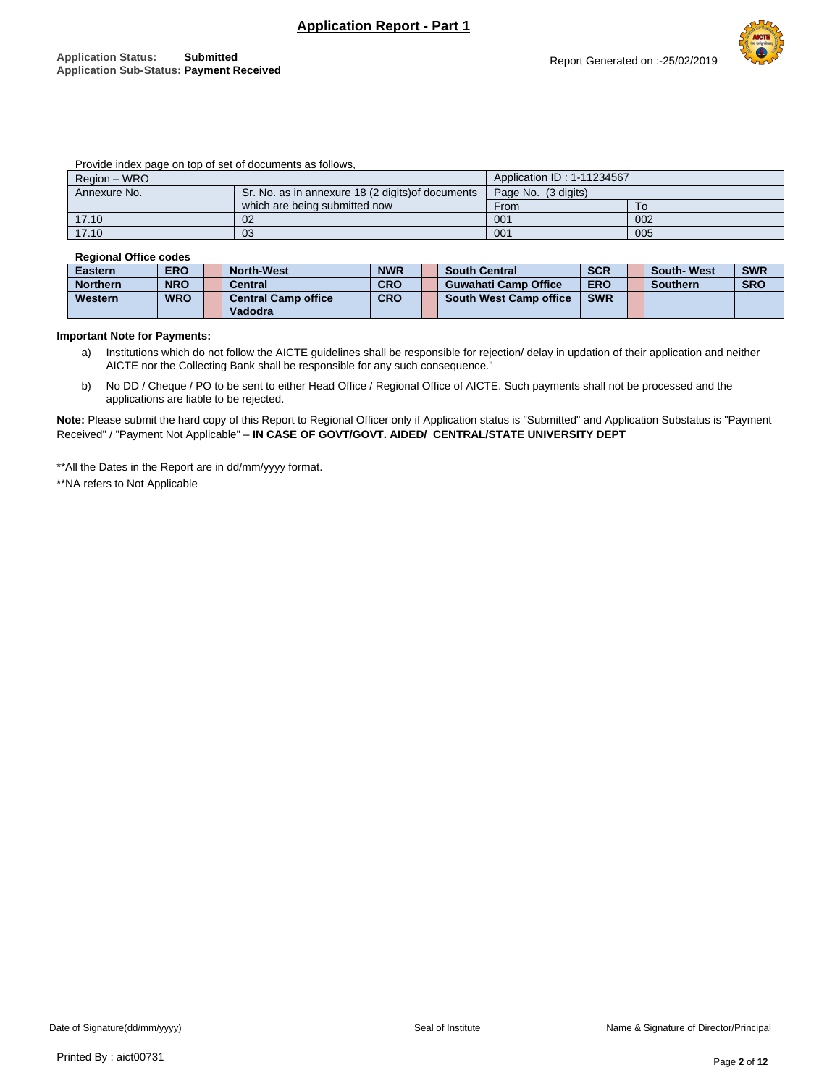Report Generated on :-25/02/2019

|  |  | Provide index page on top of set of documents as follows, |
|--|--|-----------------------------------------------------------|
|--|--|-----------------------------------------------------------|

| Region - WRO |                                                   | Application ID: 1-11234567 |     |
|--------------|---------------------------------------------------|----------------------------|-----|
| Annexure No. | Sr. No. as in annexure 18 (2 digits) of documents | Page No. (3 digits)        |     |
|              | which are being submitted now                     | From                       | 10  |
| 17.10        | 02                                                | 001                        | 002 |
| 17.10        | 03                                                | 001                        | 005 |

#### **Regional Office codes**

| <b>Eastern</b>  | <b>ERO</b> | <b>North-West</b>          | <b>NWR</b> | <b>South Central</b>          | <b>SCR</b> | <b>South-West</b> | <b>SWR</b> |
|-----------------|------------|----------------------------|------------|-------------------------------|------------|-------------------|------------|
| <b>Northern</b> | <b>NRO</b> | <b>Central</b>             | <b>CRO</b> | <b>Guwahati Camp Office</b>   | <b>ERO</b> | <b>Southern</b>   | <b>SRO</b> |
| Western         | <b>WRO</b> | <b>Central Camp office</b> | <b>CRO</b> | <b>South West Camp office</b> | <b>SWR</b> |                   |            |
|                 |            | Vadodra                    |            |                               |            |                   |            |

#### **Important Note for Payments:**

- a) Institutions which do not follow the AICTE guidelines shall be responsible for rejection/ delay in updation of their application and neither AICTE nor the Collecting Bank shall be responsible for any such consequence."
- b) No DD / Cheque / PO to be sent to either Head Office / Regional Office of AICTE. Such payments shall not be processed and the applications are liable to be rejected.

**Note:** Please submit the hard copy of this Report to Regional Officer only if Application status is "Submitted" and Application Substatus is "Payment Received" / "Payment Not Applicable" – **IN CASE OF GOVT/GOVT. AIDED/ CENTRAL/STATE UNIVERSITY DEPT**

\*\*All the Dates in the Report are in dd/mm/yyyy format.

\*\*NA refers to Not Applicable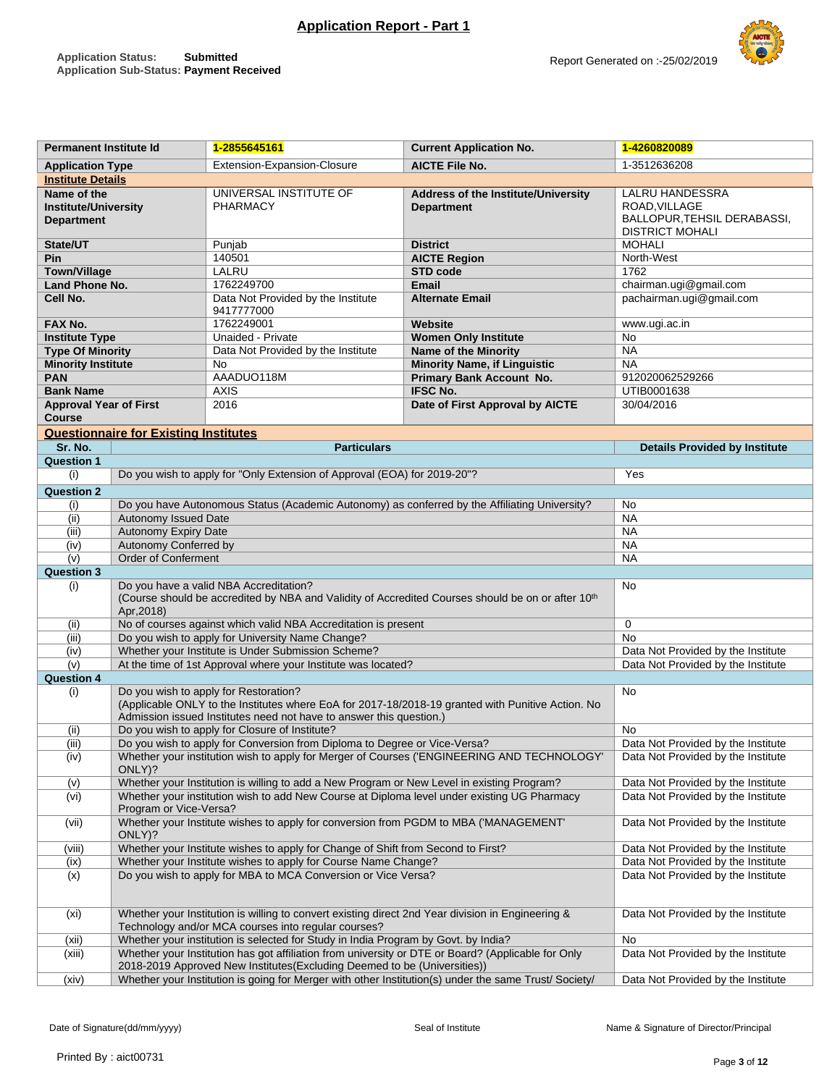

| <b>Permanent Institute Id</b>                                   |                                              | 1-2855645161                                                                                                                                                                   | <b>Current Application No.</b>                                                                       | 1-4260820089                                                                              |
|-----------------------------------------------------------------|----------------------------------------------|--------------------------------------------------------------------------------------------------------------------------------------------------------------------------------|------------------------------------------------------------------------------------------------------|-------------------------------------------------------------------------------------------|
| <b>Application Type</b>                                         |                                              | <b>Extension-Expansion-Closure</b>                                                                                                                                             | <b>AICTE File No.</b>                                                                                | 1-3512636208                                                                              |
| <b>Institute Details</b>                                        |                                              |                                                                                                                                                                                |                                                                                                      |                                                                                           |
| Name of the<br><b>Institute/University</b><br><b>Department</b> |                                              | UNIVERSAL INSTITUTE OF<br><b>PHARMACY</b>                                                                                                                                      | Address of the Institute/University<br><b>Department</b>                                             | LALRU HANDESSRA<br>ROAD, VILLAGE<br>BALLOPUR, TEHSIL DERABASSI,<br><b>DISTRICT MOHALI</b> |
| State/UT                                                        |                                              | Punjab                                                                                                                                                                         | <b>District</b>                                                                                      | <b>MOHALI</b>                                                                             |
| Pin                                                             |                                              | 140501                                                                                                                                                                         | <b>AICTE Region</b><br>STD code                                                                      | North-West                                                                                |
| <b>Town/Village</b>                                             |                                              | LALRU                                                                                                                                                                          | 1762                                                                                                 |                                                                                           |
| <b>Land Phone No.</b>                                           |                                              | 1762249700                                                                                                                                                                     | <b>Email</b><br><b>Alternate Email</b>                                                               | chairman.ugi@gmail.com                                                                    |
| Cell No.                                                        |                                              | Data Not Provided by the Institute<br>9417777000                                                                                                                               | pachairman.ugi@gmail.com                                                                             |                                                                                           |
| FAX No.                                                         |                                              | 1762249001                                                                                                                                                                     | Website                                                                                              | www.ugi.ac.in                                                                             |
| <b>Institute Type</b>                                           |                                              | Unaided - Private                                                                                                                                                              | <b>Women Only Institute</b>                                                                          | No                                                                                        |
| <b>Type Of Minority</b>                                         |                                              | Data Not Provided by the Institute                                                                                                                                             | Name of the Minority                                                                                 | <b>NA</b>                                                                                 |
| <b>Minority Institute</b>                                       |                                              | No                                                                                                                                                                             | <b>Minority Name, if Linguistic</b>                                                                  | <b>NA</b>                                                                                 |
| <b>PAN</b>                                                      |                                              | AAADUO118M                                                                                                                                                                     | <b>Primary Bank Account No.</b>                                                                      | 912020062529266                                                                           |
| <b>Bank Name</b>                                                |                                              | <b>AXIS</b>                                                                                                                                                                    | <b>IFSC No.</b>                                                                                      | UTIB0001638                                                                               |
| <b>Approval Year of First</b><br><b>Course</b>                  |                                              | 2016                                                                                                                                                                           | Date of First Approval by AICTE                                                                      | 30/04/2016                                                                                |
|                                                                 | <b>Questionnaire for Existing Institutes</b> |                                                                                                                                                                                |                                                                                                      |                                                                                           |
| Sr. No.                                                         |                                              | <b>Particulars</b>                                                                                                                                                             |                                                                                                      | <b>Details Provided by Institute</b>                                                      |
| <b>Question 1</b>                                               |                                              |                                                                                                                                                                                |                                                                                                      |                                                                                           |
| (i)                                                             |                                              | Do you wish to apply for "Only Extension of Approval (EOA) for 2019-20"?                                                                                                       |                                                                                                      | Yes                                                                                       |
|                                                                 |                                              |                                                                                                                                                                                |                                                                                                      |                                                                                           |
| <b>Question 2</b>                                               |                                              |                                                                                                                                                                                |                                                                                                      |                                                                                           |
| (i)                                                             |                                              |                                                                                                                                                                                | Do you have Autonomous Status (Academic Autonomy) as conferred by the Affiliating University?        | No                                                                                        |
| (i)                                                             | Autonomy Issued Date                         |                                                                                                                                                                                |                                                                                                      | <b>NA</b>                                                                                 |
| (iii)                                                           | <b>Autonomy Expiry Date</b>                  |                                                                                                                                                                                |                                                                                                      | <b>NA</b>                                                                                 |
| (iv)                                                            | Autonomy Conferred by                        |                                                                                                                                                                                |                                                                                                      | <b>NA</b>                                                                                 |
| (v)                                                             | <b>Order of Conferment</b>                   |                                                                                                                                                                                |                                                                                                      | <b>NA</b>                                                                                 |
| <b>Question 3</b>                                               |                                              |                                                                                                                                                                                |                                                                                                      |                                                                                           |
| (i)                                                             | Apr, 2018)                                   | Do you have a valid NBA Accreditation?                                                                                                                                         | (Course should be accredited by NBA and Validity of Accredited Courses should be on or after 10th    | No                                                                                        |
| (ii)                                                            |                                              | No of courses against which valid NBA Accreditation is present                                                                                                                 |                                                                                                      | $\mathbf 0$                                                                               |
| (iii)                                                           |                                              | Do you wish to apply for University Name Change?                                                                                                                               |                                                                                                      | <b>No</b>                                                                                 |
| (iv)                                                            |                                              | Whether your Institute is Under Submission Scheme?                                                                                                                             |                                                                                                      | Data Not Provided by the Institute                                                        |
| (v)                                                             |                                              | At the time of 1st Approval where your Institute was located?                                                                                                                  |                                                                                                      | Data Not Provided by the Institute                                                        |
| <b>Question 4</b>                                               |                                              |                                                                                                                                                                                |                                                                                                      |                                                                                           |
| (i)                                                             |                                              | Do you wish to apply for Restoration?<br>Admission issued Institutes need not have to answer this question.)                                                                   | (Applicable ONLY to the Institutes where EoA for 2017-18/2018-19 granted with Punitive Action. No    | No                                                                                        |
| (ii)                                                            |                                              | Do you wish to apply for Closure of Institute?                                                                                                                                 |                                                                                                      | No                                                                                        |
| (iii)                                                           |                                              | Do you wish to apply for Conversion from Diploma to Degree or Vice-Versa?                                                                                                      |                                                                                                      | Data Not Provided by the Institute                                                        |
| (iv)                                                            |                                              |                                                                                                                                                                                | Whether your institution wish to apply for Merger of Courses ('ENGINEERING AND TECHNOLOGY'           | Data Not Provided by the Institute                                                        |
|                                                                 | ONLY)?                                       |                                                                                                                                                                                |                                                                                                      |                                                                                           |
| (v)                                                             |                                              | Whether your Institution is willing to add a New Program or New Level in existing Program?                                                                                     |                                                                                                      | Data Not Provided by the Institute                                                        |
| (vi)                                                            | Program or Vice-Versa?                       | Whether your institution wish to add New Course at Diploma level under existing UG Pharmacy                                                                                    |                                                                                                      | Data Not Provided by the Institute                                                        |
| (vii)                                                           | ONLY)?                                       | Whether your Institute wishes to apply for conversion from PGDM to MBA ('MANAGEMENT'                                                                                           | Data Not Provided by the Institute                                                                   |                                                                                           |
| (viii)                                                          |                                              | Whether your Institute wishes to apply for Change of Shift from Second to First?                                                                                               | Data Not Provided by the Institute<br>Data Not Provided by the Institute                             |                                                                                           |
| (ix)<br>(x)                                                     |                                              | Whether your Institute wishes to apply for Course Name Change?<br>Do you wish to apply for MBA to MCA Conversion or Vice Versa?                                                | Data Not Provided by the Institute                                                                   |                                                                                           |
| (x <sub>i</sub> )                                               |                                              | Whether your Institution is willing to convert existing direct 2nd Year division in Engineering &<br>Technology and/or MCA courses into regular courses?                       |                                                                                                      | Data Not Provided by the Institute                                                        |
| (xii)                                                           |                                              | Whether your institution is selected for Study in India Program by Govt. by India?                                                                                             | No                                                                                                   |                                                                                           |
| (xiii)                                                          |                                              | Whether your Institution has got affiliation from university or DTE or Board? (Applicable for Only<br>2018-2019 Approved New Institutes(Excluding Deemed to be (Universities)) |                                                                                                      | Data Not Provided by the Institute                                                        |
| (xiv)                                                           |                                              |                                                                                                                                                                                | Whether your Institution is going for Merger with other Institution(s) under the same Trust/Society/ | Data Not Provided by the Institute                                                        |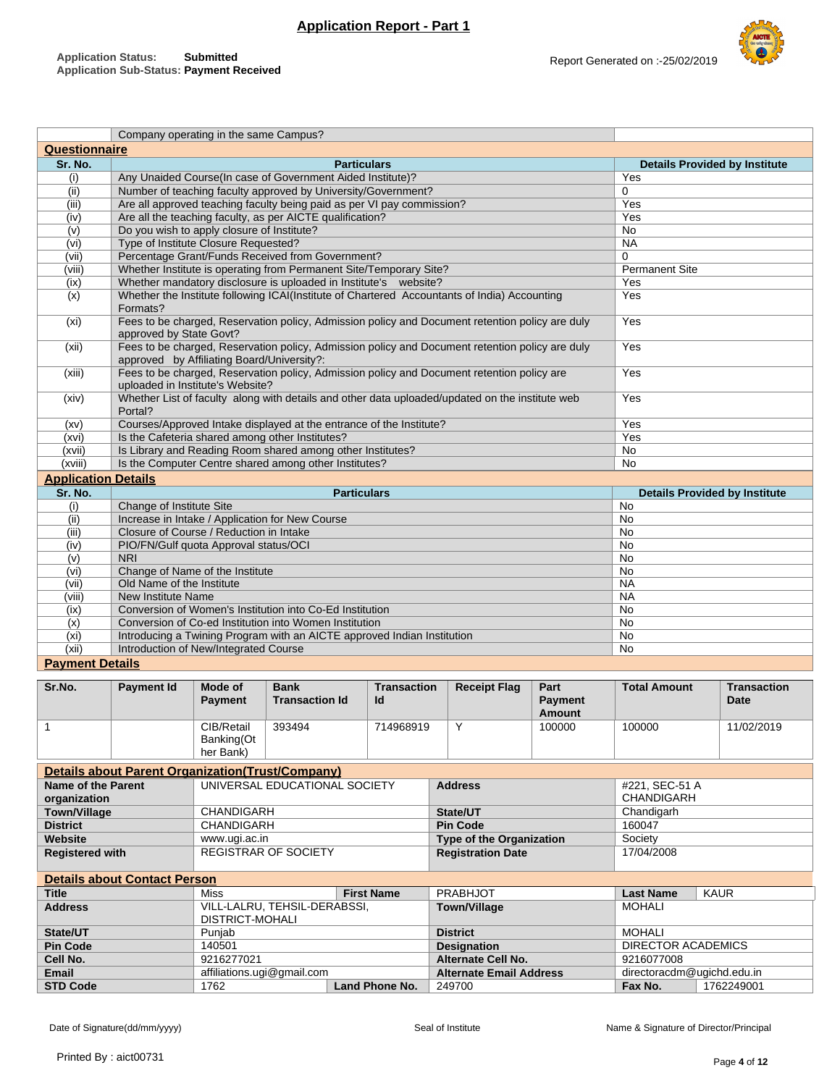

|                            | Company operating in the same Campus?                                                                                                         |                                      |
|----------------------------|-----------------------------------------------------------------------------------------------------------------------------------------------|--------------------------------------|
| <b>Questionnaire</b>       |                                                                                                                                               |                                      |
| Sr. No.                    | <b>Particulars</b>                                                                                                                            | <b>Details Provided by Institute</b> |
| (i)                        | Any Unaided Course(In case of Government Aided Institute)?                                                                                    | Yes                                  |
| (ii)                       | Number of teaching faculty approved by University/Government?                                                                                 | $\Omega$                             |
| (iii)                      | Are all approved teaching faculty being paid as per VI pay commission?                                                                        | Yes                                  |
| (iv)                       | Are all the teaching faculty, as per AICTE qualification?                                                                                     | Yes                                  |
| (v)                        | Do you wish to apply closure of Institute?                                                                                                    | <b>No</b>                            |
| (vi)                       | Type of Institute Closure Requested?                                                                                                          | <b>NA</b>                            |
| (vii)                      | Percentage Grant/Funds Received from Government?                                                                                              | $\Omega$                             |
| (viii)                     | Whether Institute is operating from Permanent Site/Temporary Site?                                                                            | <b>Permanent Site</b>                |
| (ix)                       | Whether mandatory disclosure is uploaded in Institute's website?                                                                              | Yes                                  |
| $\overline{(x)}$           | Whether the Institute following ICAI(Institute of Chartered Accountants of India) Accounting<br>Formats?                                      | Yes                                  |
| (x <sub>i</sub> )          | Fees to be charged, Reservation policy, Admission policy and Document retention policy are duly<br>approved by State Govt?                    | Yes                                  |
| (xii)                      | Fees to be charged, Reservation policy, Admission policy and Document retention policy are duly<br>approved by Affiliating Board/University?: | Yes                                  |
| (xiii)                     | Fees to be charged, Reservation policy, Admission policy and Document retention policy are<br>uploaded in Institute's Website?                | Yes                                  |
| (xiv)                      | Whether List of faculty along with details and other data uploaded/updated on the institute web<br>Portal?                                    | Yes                                  |
| (xv)                       | Courses/Approved Intake displayed at the entrance of the Institute?                                                                           | Yes                                  |
| (xvi)                      | Is the Cafeteria shared among other Institutes?                                                                                               | Yes                                  |
| (xvii)                     | Is Library and Reading Room shared among other Institutes?                                                                                    | <b>No</b>                            |
| (xviii)                    | Is the Computer Centre shared among other Institutes?                                                                                         | <b>No</b>                            |
| <b>Application Details</b> |                                                                                                                                               |                                      |
| Sr. No.                    | <b>Particulars</b>                                                                                                                            | <b>Details Provided by Institute</b> |
| (i)                        | Change of Institute Site                                                                                                                      | No                                   |
| (ii)                       | Increase in Intake / Application for New Course                                                                                               | <b>No</b>                            |
| (iii)                      | Closure of Course / Reduction in Intake                                                                                                       | <b>No</b>                            |
| (iv)                       | PIO/FN/Gulf quota Approval status/OCI                                                                                                         | <b>No</b>                            |
| (v)                        | <b>NRI</b>                                                                                                                                    | <b>No</b>                            |
| (vi)                       | Change of Name of the Institute                                                                                                               | <b>No</b>                            |
| (vii)                      | Old Name of the Institute                                                                                                                     | <b>NA</b>                            |
| (viii)                     | <b>New Institute Name</b>                                                                                                                     | <b>NA</b>                            |
| (ix)                       | Conversion of Women's Institution into Co-Ed Institution                                                                                      | <b>No</b>                            |
| (x)                        | Conversion of Co-ed Institution into Women Institution                                                                                        | No                                   |
| (x <sub>i</sub> )          | Introducing a Twining Program with an AICTE approved Indian Institution                                                                       | <b>No</b>                            |
| (xii)                      | Introduction of New/Integrated Course                                                                                                         | <b>No</b>                            |
| <b>Payment Details</b>     |                                                                                                                                               |                                      |

| Sr.No.                 | <b>Payment Id</b>                                        | Mode of<br><b>Payment</b>             | <b>Bank</b><br><b>Transaction Id</b> | Transaction<br>Id | <b>Receipt Flag</b> | Part<br>Payment<br><b>Amount</b> | <b>Total Amount</b>          | <b>Transaction</b><br>Date |  |  |
|------------------------|----------------------------------------------------------|---------------------------------------|--------------------------------------|-------------------|---------------------|----------------------------------|------------------------------|----------------------------|--|--|
|                        |                                                          | CIB/Retail<br>Banking(Ot<br>her Bank) | 393494                               | 714968919         | Υ                   | 100000                           | 100000                       | 11/02/2019                 |  |  |
|                        | <b>Details about Parent Organization (Trust/Company)</b> |                                       |                                      |                   |                     |                                  |                              |                            |  |  |
| Name of the Parent<br> |                                                          | UNIVERSAL EDUCATIONAL SOCIETY         |                                      |                   | <b>Address</b>      |                                  | #221, SEC-51 A<br>CUANDICADU |                            |  |  |

| organization           |                             |                          | CHANDIGARH |
|------------------------|-----------------------------|--------------------------|------------|
| Town/Village           | CHANDIGARH                  | State/UT                 | Chandigarh |
| <b>District</b>        | CHANDIGARH                  | <b>Pin Code</b>          | 160047     |
| Website                | www.uqi.ac.in               | Type of the Organization | Society    |
| <b>Registered with</b> | <b>REGISTRAR OF SOCIETY</b> | <b>Registration Date</b> | 17/04/2008 |

| <b>Details about Contact Person</b> |                                                        |                       |                                |                            |            |  |  |  |  |  |  |
|-------------------------------------|--------------------------------------------------------|-----------------------|--------------------------------|----------------------------|------------|--|--|--|--|--|--|
| <b>Title</b>                        | Miss                                                   | <b>First Name</b>     | PRABHJOT                       | <b>Last Name</b>           | KAUR       |  |  |  |  |  |  |
| <b>Address</b>                      | VILL-LALRU, TEHSIL-DERABSSI,<br><b>DISTRICT-MOHALI</b> |                       | <b>Town/Village</b>            | <b>MOHALI</b>              |            |  |  |  |  |  |  |
| State/UT                            | Punjab                                                 |                       | <b>District</b>                | <b>MOHALI</b>              |            |  |  |  |  |  |  |
| <b>Pin Code</b>                     | 140501                                                 |                       | <b>Designation</b>             | DIRECTOR ACADEMICS         |            |  |  |  |  |  |  |
| Cell No.                            | 9216277021                                             |                       | <b>Alternate Cell No.</b>      | 9216077008                 |            |  |  |  |  |  |  |
| Email                               | affiliations.ugi@gmail.com                             |                       | <b>Alternate Email Address</b> | directoracdm@ugichd.edu.in |            |  |  |  |  |  |  |
| <b>STD Code</b>                     | 1762                                                   | <b>Land Phone No.</b> | 249700                         | Fax No.                    | 1762249001 |  |  |  |  |  |  |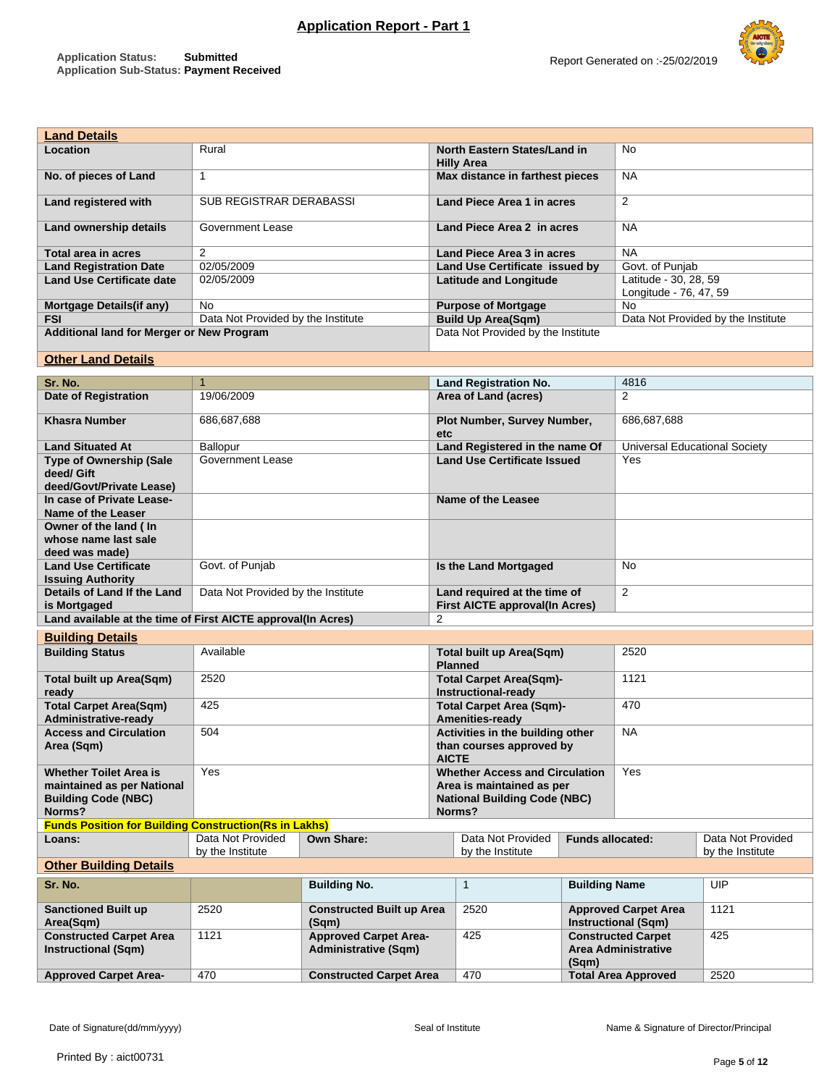

Report Generated on :-25/02/2019

| <b>Land Details</b>                       |                                    |                                                   |                                                 |
|-------------------------------------------|------------------------------------|---------------------------------------------------|-------------------------------------------------|
| Location                                  | Rural                              | North Eastern States/Land in<br><b>Hilly Area</b> | No                                              |
| No. of pieces of Land                     |                                    | Max distance in farthest pieces                   | <b>NA</b>                                       |
| Land registered with                      | <b>SUB REGISTRAR DERABASSI</b>     | Land Piece Area 1 in acres                        | $\overline{2}$                                  |
| Land ownership details                    | Government Lease                   | Land Piece Area 2 in acres                        | <b>NA</b>                                       |
| Total area in acres                       | 2                                  | Land Piece Area 3 in acres                        | <b>NA</b>                                       |
| <b>Land Registration Date</b>             | 02/05/2009                         | Land Use Certificate issued by                    | Govt. of Punjab                                 |
| <b>Land Use Certificate date</b>          | 02/05/2009                         | <b>Latitude and Longitude</b>                     | Latitude - 30, 28, 59<br>Longitude - 76, 47, 59 |
| Mortgage Details (if any)                 | <b>No</b>                          | <b>Purpose of Mortgage</b>                        | No.                                             |
| <b>FSI</b>                                | Data Not Provided by the Institute | <b>Build Up Area(Sqm)</b>                         | Data Not Provided by the Institute              |
| Additional land for Merger or New Program |                                    | Data Not Provided by the Institute                |                                                 |

## **Other Land Details**

|                                                                          | $\mathbf{1}$                          |                                                             |                                                                              |                                                                |                                                           |                                                         |                                       |
|--------------------------------------------------------------------------|---------------------------------------|-------------------------------------------------------------|------------------------------------------------------------------------------|----------------------------------------------------------------|-----------------------------------------------------------|---------------------------------------------------------|---------------------------------------|
| Sr. No.                                                                  |                                       |                                                             |                                                                              | <b>Land Registration No.</b>                                   |                                                           | 4816                                                    |                                       |
| Date of Registration                                                     | 19/06/2009                            |                                                             |                                                                              | Area of Land (acres)                                           |                                                           | 2                                                       |                                       |
| <b>Khasra Number</b>                                                     | 686,687,688                           |                                                             | etc                                                                          | Plot Number, Survey Number,                                    |                                                           | 686,687,688                                             |                                       |
| <b>Land Situated At</b>                                                  | Ballopur                              |                                                             |                                                                              | Land Registered in the name Of                                 |                                                           | <b>Universal Educational Society</b>                    |                                       |
| <b>Type of Ownership (Sale</b><br>deed/ Gift<br>deed/Govt/Private Lease) | <b>Government Lease</b>               |                                                             |                                                                              | <b>Land Use Certificate Issued</b>                             |                                                           | Yes                                                     |                                       |
| In case of Private Lease-<br>Name of the Leaser                          |                                       |                                                             |                                                                              | Name of the Leasee                                             |                                                           |                                                         |                                       |
| Owner of the land ( In                                                   |                                       |                                                             |                                                                              |                                                                |                                                           |                                                         |                                       |
| whose name last sale<br>deed was made)                                   |                                       |                                                             |                                                                              |                                                                |                                                           |                                                         |                                       |
| <b>Land Use Certificate</b><br><b>Issuing Authority</b>                  | Govt. of Punjab                       |                                                             |                                                                              | Is the Land Mortgaged                                          |                                                           | No                                                      |                                       |
| Details of Land If the Land<br>is Mortgaged                              | Data Not Provided by the Institute    |                                                             |                                                                              | Land required at the time of<br>First AICTE approval(In Acres) |                                                           | 2                                                       |                                       |
| Land available at the time of First AICTE approval(In Acres)             |                                       |                                                             | $\overline{2}$                                                               |                                                                |                                                           |                                                         |                                       |
| <b>Building Details</b>                                                  |                                       |                                                             |                                                                              |                                                                |                                                           |                                                         |                                       |
| <b>Building Status</b>                                                   | Available                             |                                                             |                                                                              | <b>Total built up Area(Sqm)</b><br><b>Planned</b>              |                                                           | 2520                                                    |                                       |
| <b>Total built up Area(Sqm)</b><br>ready                                 | 2520                                  |                                                             |                                                                              | <b>Total Carpet Area(Sqm)-</b><br>Instructional-ready          |                                                           | 1121                                                    |                                       |
| <b>Total Carpet Area(Sqm)</b><br><b>Administrative-ready</b>             | 425                                   |                                                             |                                                                              | <b>Total Carpet Area (Sqm)-</b><br>Amenities-ready             |                                                           | 470                                                     |                                       |
| <b>Access and Circulation</b><br>Area (Sqm)                              | 504                                   |                                                             | Activities in the building other<br>than courses approved by<br><b>AICTE</b> |                                                                |                                                           | <b>NA</b>                                               |                                       |
| <b>Whether Toilet Area is</b>                                            | Yes                                   |                                                             |                                                                              | <b>Whether Access and Circulation</b>                          |                                                           | Yes                                                     |                                       |
| maintained as per National                                               |                                       |                                                             |                                                                              | Area is maintained as per                                      |                                                           |                                                         |                                       |
| <b>Building Code (NBC)</b>                                               |                                       |                                                             |                                                                              | <b>National Building Code (NBC)</b>                            |                                                           |                                                         |                                       |
| Norms?                                                                   |                                       |                                                             |                                                                              | Norms?                                                         |                                                           |                                                         |                                       |
| <b>Funds Position for Building Construction (Rs in Lakhs)</b>            |                                       |                                                             |                                                                              |                                                                |                                                           |                                                         |                                       |
| Loans:                                                                   | Data Not Provided<br>by the Institute | <b>Own Share:</b>                                           |                                                                              | Data Not Provided<br>by the Institute                          | <b>Funds allocated:</b>                                   |                                                         | Data Not Provided<br>by the Institute |
| <b>Other Building Details</b>                                            |                                       |                                                             |                                                                              |                                                                |                                                           |                                                         |                                       |
|                                                                          |                                       |                                                             |                                                                              | $\mathbf{1}$                                                   |                                                           |                                                         | UIP                                   |
| Sr. No.                                                                  |                                       | <b>Building No.</b>                                         |                                                                              |                                                                | <b>Building Name</b>                                      |                                                         |                                       |
| <b>Sanctioned Built up</b><br>Area(Sqm)                                  | 2520                                  | <b>Constructed Built up Area</b><br>(Sqm)                   |                                                                              | 2520                                                           | <b>Approved Carpet Area</b><br><b>Instructional (Sqm)</b> |                                                         | 1121                                  |
| <b>Constructed Carpet Area</b><br><b>Instructional (Sqm)</b>             | 1121                                  | <b>Approved Carpet Area-</b><br><b>Administrative (Sqm)</b> |                                                                              | 425                                                            | (Sqm)                                                     | <b>Constructed Carpet</b><br><b>Area Administrative</b> | 425                                   |
| <b>Approved Carpet Area-</b>                                             | 470                                   | <b>Constructed Carpet Area</b>                              |                                                                              | 470                                                            |                                                           | <b>Total Area Approved</b>                              | 2520                                  |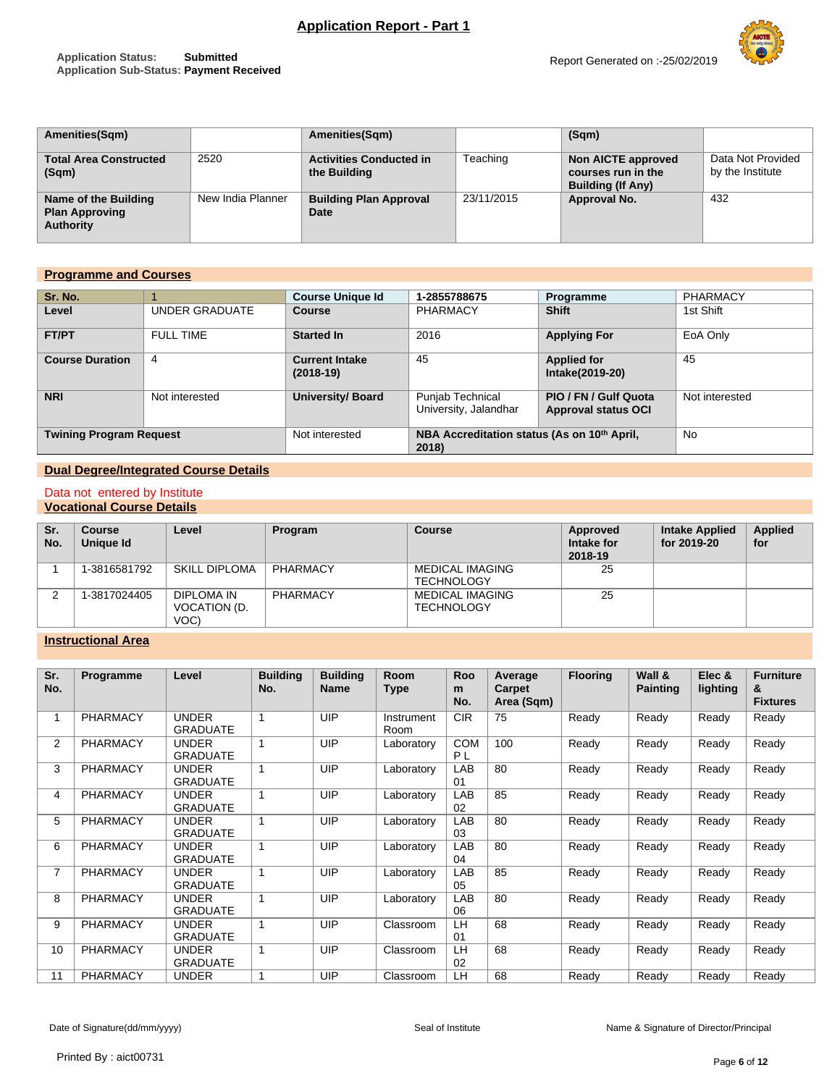# **Application Report - Part 1**

### **Application Status: Submitted Application Sub-Status: Payment Received**



| <b>Amenities(Sqm)</b>                                             |                   | Amenities(Sqm)                                 |            | (Sqm)                                                                |                                       |
|-------------------------------------------------------------------|-------------------|------------------------------------------------|------------|----------------------------------------------------------------------|---------------------------------------|
| <b>Total Area Constructed</b><br>(Sqm)                            | 2520              | <b>Activities Conducted in</b><br>the Building | Teaching   | Non AICTE approved<br>courses run in the<br><b>Building (If Any)</b> | Data Not Provided<br>by the Institute |
| Name of the Building<br><b>Plan Approving</b><br><b>Authority</b> | New India Planner | <b>Building Plan Approval</b><br>Date          | 23/11/2015 | Approval No.                                                         | 432                                   |

## **Programme and Courses**

| Sr. No.                        |                  | <b>Course Unique Id</b>              | 1-2855788675                                                     | Programme                                           | <b>PHARMACY</b> |
|--------------------------------|------------------|--------------------------------------|------------------------------------------------------------------|-----------------------------------------------------|-----------------|
| Level                          | UNDER GRADUATE   | Course                               | PHARMACY                                                         | <b>Shift</b>                                        | 1st Shift       |
| <b>FT/PT</b>                   | <b>FULL TIME</b> | <b>Started In</b>                    | 2016                                                             | <b>Applying For</b>                                 | EoA Only        |
| <b>Course Duration</b>         | 4                | <b>Current Intake</b><br>$(2018-19)$ | 45                                                               | <b>Applied for</b><br>Intake(2019-20)               | 45              |
| <b>NRI</b>                     | Not interested   | University/ Board                    | Punjab Technical<br>University, Jalandhar                        | PIO / FN / Gulf Quota<br><b>Approval status OCI</b> | Not interested  |
| <b>Twining Program Request</b> |                  | Not interested                       | NBA Accreditation status (As on 10 <sup>th</sup> April,<br>2018) |                                                     | <b>No</b>       |

# **Dual Degree/Integrated Course Details**

#### Data not entered by Institute **Vocational Course Details**

| Sr.<br>No. | <b>Course</b><br>Unique Id | Level                              | Program  | Course                                      | Approved<br>Intake for<br>2018-19 | <b>Intake Applied</b><br>for 2019-20 | <b>Applied</b><br>for |
|------------|----------------------------|------------------------------------|----------|---------------------------------------------|-----------------------------------|--------------------------------------|-----------------------|
|            | 1-3816581792               | <b>SKILL DIPLOMA</b>               | PHARMACY | MEDICAL IMAGING<br><b>TECHNOLOGY</b>        | 25                                |                                      |                       |
|            | 1-3817024405               | DIPLOMA IN<br>VOCATION (D.<br>VOC) | PHARMACY | <b>MEDICAL IMAGING</b><br><b>TECHNOLOGY</b> | 25                                |                                      |                       |

# **Instructional Area**

| Sr.<br>No.     | Programme       | Level                           | <b>Building</b><br>No. | <b>Building</b><br><b>Name</b> | <b>Room</b><br><b>Type</b> | Roo<br>m<br>No.              | Average<br>Carpet<br>Area (Sqm) | <b>Flooring</b> | Wall &<br><b>Painting</b> | Elec &<br>lighting | <b>Furniture</b><br>&<br><b>Fixtures</b> |
|----------------|-----------------|---------------------------------|------------------------|--------------------------------|----------------------------|------------------------------|---------------------------------|-----------------|---------------------------|--------------------|------------------------------------------|
| 1              | <b>PHARMACY</b> | <b>UNDER</b><br><b>GRADUATE</b> |                        | UIP                            | Instrument<br>Room         | <b>CIR</b>                   | 75                              | Ready           | Ready                     | Ready              | Ready                                    |
| 2              | <b>PHARMACY</b> | <b>UNDER</b><br><b>GRADUATE</b> |                        | UIP                            | Laboratory                 | <b>COM</b><br>P <sub>L</sub> | 100                             | Ready           | Ready                     | Ready              | Ready                                    |
| 3              | <b>PHARMACY</b> | <b>UNDER</b><br><b>GRADUATE</b> |                        | UIP                            | Laboratory                 | LAB<br>01                    | 80                              | Ready           | Ready                     | Ready              | Ready                                    |
| 4              | <b>PHARMACY</b> | <b>UNDER</b><br><b>GRADUATE</b> |                        | UIP                            | Laboratory                 | LAB<br>02                    | 85                              | Ready           | Ready                     | Ready              | Ready                                    |
| 5              | <b>PHARMACY</b> | <b>UNDER</b><br><b>GRADUATE</b> |                        | <b>UIP</b>                     | Laboratory                 | LAB<br>03                    | 80                              | Ready           | Ready                     | Ready              | Ready                                    |
| 6              | <b>PHARMACY</b> | <b>UNDER</b><br><b>GRADUATE</b> |                        | UIP                            | Laboratory                 | LAB<br>04                    | 80                              | Ready           | Ready                     | Ready              | Ready                                    |
| $\overline{7}$ | <b>PHARMACY</b> | <b>UNDER</b><br><b>GRADUATE</b> |                        | UIP                            | Laboratory                 | LAB<br>05                    | 85                              | Ready           | Ready                     | Ready              | Ready                                    |
| 8              | <b>PHARMACY</b> | <b>UNDER</b><br><b>GRADUATE</b> |                        | <b>UIP</b>                     | Laboratory                 | LAB<br>06                    | 80                              | Ready           | Ready                     | Ready              | Ready                                    |
| 9              | <b>PHARMACY</b> | <b>UNDER</b><br><b>GRADUATE</b> |                        | UIP                            | Classroom                  | LH<br>01                     | 68                              | Ready           | Ready                     | Ready              | Ready                                    |
| 10             | <b>PHARMACY</b> | <b>UNDER</b><br><b>GRADUATE</b> |                        | UIP                            | Classroom                  | LH<br>02                     | 68                              | Ready           | Ready                     | Ready              | Ready                                    |
| 11             | <b>PHARMACY</b> | <b>UNDER</b>                    |                        | UIP                            | Classroom                  | LH                           | 68                              | Ready           | Ready                     | Ready              | Ready                                    |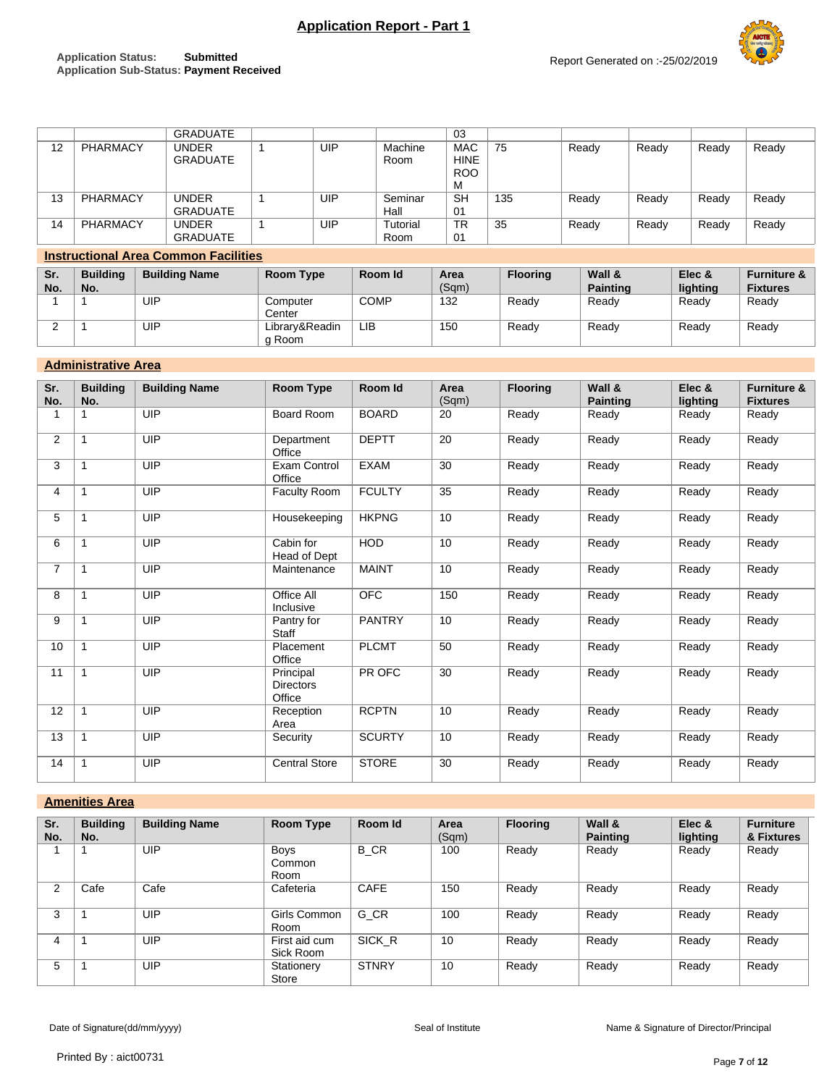# **Application Report - Part 1**

### **Application Status: Submitted Application Sub-Status: Payment Received**

2 1 UIP Library&Readin

g Room



LIB Ready Ready Ready Ready

|            |                        |                                             | <b>GRADUATE</b> |                    |     |             |                  | 03                                           |                 |                           |       |                    |                                           |
|------------|------------------------|---------------------------------------------|-----------------|--------------------|-----|-------------|------------------|----------------------------------------------|-----------------|---------------------------|-------|--------------------|-------------------------------------------|
| 12         | PHARMACY               | <b>UNDER</b>                                | <b>GRADUATE</b> |                    | UIP |             | Machine<br>Room  | <b>MAC</b><br><b>HINE</b><br><b>ROO</b><br>M | 75              | Ready                     | Ready | Ready              | Ready                                     |
| 13         | PHARMACY               | <b>UNDER</b>                                | <b>GRADUATE</b> |                    | UIP |             | Seminar<br>Hall  | <b>SH</b><br>01                              | 135             | Ready                     | Ready | Ready              | Ready                                     |
| 14         | PHARMACY               | <b>UNDER</b>                                | <b>GRADUATE</b> |                    | UIP |             | Tutorial<br>Room | <b>TR</b><br>01                              | 35              | Ready                     | Ready | Ready              | Ready                                     |
|            |                        | <b>Instructional Area Common Facilities</b> |                 |                    |     |             |                  |                                              |                 |                           |       |                    |                                           |
| Sr.<br>No. | <b>Building</b><br>No. | <b>Building Name</b>                        |                 | Room Type          |     |             | Room Id          | Area<br>(Sqm)                                | <b>Flooring</b> | Wall &<br><b>Painting</b> |       | Elec &<br>lighting | <b>Furniture &amp;</b><br><b>Fixtures</b> |
|            |                        | UIP                                         |                 | Computer<br>Center |     | <b>COMP</b> |                  | 132                                          | Ready           | Ready                     |       | Ready              | Ready                                     |

### **Administrative Area**

| Sr.<br>No. | <b>Building</b><br>No. | <b>Building Name</b> | Room Type                               | Room Id       | Area<br>(Sqm) | <b>Flooring</b> | Wall &<br><b>Painting</b> | Elec &<br>lighting | <b>Furniture &amp;</b><br><b>Fixtures</b> |
|------------|------------------------|----------------------|-----------------------------------------|---------------|---------------|-----------------|---------------------------|--------------------|-------------------------------------------|
|            |                        | UIP                  | Board Room                              | <b>BOARD</b>  | 20            | Ready           | Ready                     | Ready              | Ready                                     |
| 2          | $\mathbf 1$            | UIP                  | Department<br>Office                    | <b>DEPTT</b>  | 20            | Ready           | Ready                     | Ready              | Ready                                     |
| 3          | $\mathbf{1}$           | UIP                  | <b>Exam Control</b><br>Office           | <b>EXAM</b>   | 30            | Ready           | Ready                     | Ready              | Ready                                     |
| 4          | $\mathbf{1}$           | UIP                  | Faculty Room                            | <b>FCULTY</b> | 35            | Ready           | Ready                     | Ready              | Ready                                     |
| 5          | $\mathbf{1}$           | UIP                  | Housekeeping                            | <b>HKPNG</b>  | 10            | Ready           | Ready                     | Ready              | Ready                                     |
| 6          | $\mathbf{1}$           | UIP                  | Cabin for<br>Head of Dept               | <b>HOD</b>    | 10            | Ready           | Ready                     | Ready              | Ready                                     |
| 7          | $\mathbf{1}$           | UIP                  | Maintenance                             | <b>MAINT</b>  | 10            | Ready           | Ready                     | Ready              | Ready                                     |
| 8          | $\mathbf{1}$           | <b>UIP</b>           | Office All<br>Inclusive                 | <b>OFC</b>    | 150           | Ready           | Ready                     | Ready              | Ready                                     |
| 9          | $\mathbf{1}$           | UIP                  | Pantry for<br><b>Staff</b>              | <b>PANTRY</b> | 10            | Ready           | Ready                     | Ready              | Ready                                     |
| 10         | $\mathbf 1$            | UIP                  | Placement<br>Office                     | <b>PLCMT</b>  | 50            | Ready           | Ready                     | Ready              | Ready                                     |
| 11         | $\mathbf{1}$           | UIP                  | Principal<br><b>Directors</b><br>Office | PR OFC        | 30            | Ready           | Ready                     | Ready              | Ready                                     |
| 12         | $\mathbf{1}$           | UIP                  | Reception<br>Area                       | <b>RCPTN</b>  | 10            | Ready           | Ready                     | Ready              | Ready                                     |
| 13         | $\mathbf{1}$           | UIP                  | Security                                | <b>SCURTY</b> | 10            | Ready           | Ready                     | Ready              | Ready                                     |
| 14         | $\mathbf{1}$           | UIP                  | <b>Central Store</b>                    | <b>STORE</b>  | 30            | Ready           | Ready                     | Ready              | Ready                                     |

### **Amenities Area**

| Sr.<br>No. | <b>Building</b><br>No. | <b>Building Name</b> | Room Type                     | Room Id      | Area<br>(Sqm) | <b>Flooring</b> | Wall &<br><b>Painting</b> | Elec &<br>lighting | <b>Furniture</b><br>& Fixtures |
|------------|------------------------|----------------------|-------------------------------|--------------|---------------|-----------------|---------------------------|--------------------|--------------------------------|
|            |                        | UIP                  | <b>Boys</b><br>Common<br>Room | <b>B</b> CR  | 100           | Ready           | Ready                     | Ready              | Ready                          |
| 2          | Cafe                   | Cafe                 | Cafeteria                     | CAFE         | 150           | Ready           | Ready                     | Ready              | Ready                          |
| 3          |                        | UIP                  | Girls Common<br>Room          | G CR         | 100           | Ready           | Ready                     | Ready              | Ready                          |
| 4          |                        | UIP                  | First aid cum<br>Sick Room    | SICK R       | 10            | Ready           | Ready                     | Ready              | Ready                          |
| 5          |                        | UIP                  | Stationery<br>Store           | <b>STNRY</b> | 10            | Ready           | Ready                     | Ready              | Ready                          |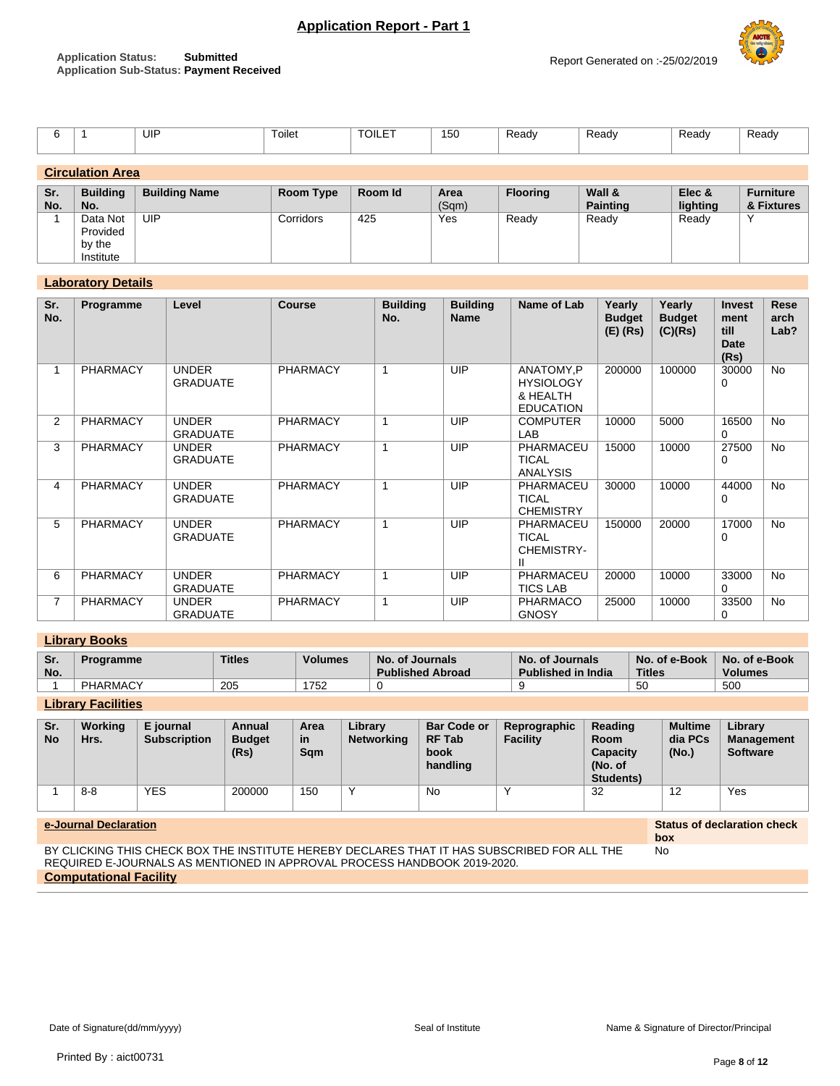

|                  |  | UIP | Toilet<br>$\sim$ $\sim$ | <b>TOILET</b> | 150 | Ready | Ready | Ready | Ready |
|------------------|--|-----|-------------------------|---------------|-----|-------|-------|-------|-------|
|                  |  |     |                         |               |     |       |       |       |       |
| Circulation Area |  |     |                         |               |     |       |       |       |       |

| <u>Uli Guiution Algu</u> |                 |                      |           |         |       |                 |                 |          |                  |
|--------------------------|-----------------|----------------------|-----------|---------|-------|-----------------|-----------------|----------|------------------|
|                          |                 |                      |           |         |       |                 |                 |          |                  |
| Sr.                      | <b>Building</b> | <b>Building Name</b> | Room Type | Room Id | Area  | <b>Flooring</b> | Wall &          | Elec &   | <b>Furniture</b> |
| No.                      | No.             |                      |           |         | (Sqm) |                 | <b>Painting</b> | lighting | & Fixtures       |
|                          | Data Not        | UIP                  | Corridors | 425     | Yes   | Ready           | Ready           | Ready    | $\checkmark$     |
|                          | Provided        |                      |           |         |       |                 |                 |          |                  |
|                          | by the          |                      |           |         |       |                 |                 |          |                  |
|                          | Institute       |                      |           |         |       |                 |                 |          |                  |

### **Laboratory Details**

| Sr.<br>No.     | Programme       | Level                           | <b>Course</b>   | <b>Building</b><br>No. | <b>Building</b><br><b>Name</b> | Name of Lab                                                   | Yearly<br><b>Budget</b><br>$(E)$ (Rs) | Yearly<br><b>Budget</b><br>(C)(Rs) | <b>Invest</b><br>ment<br>till<br><b>Date</b><br>(Rs) | Rese<br>arch<br>Lab? |
|----------------|-----------------|---------------------------------|-----------------|------------------------|--------------------------------|---------------------------------------------------------------|---------------------------------------|------------------------------------|------------------------------------------------------|----------------------|
| 1              | <b>PHARMACY</b> | <b>UNDER</b><br><b>GRADUATE</b> | <b>PHARMACY</b> | 1                      | UIP                            | ANATOMY,P<br><b>HYSIOLOGY</b><br>& HEALTH<br><b>EDUCATION</b> | 200000                                | 100000                             | 30000<br>0                                           | <b>No</b>            |
| $\overline{2}$ | <b>PHARMACY</b> | <b>UNDER</b><br><b>GRADUATE</b> | <b>PHARMACY</b> | 1                      | UIP                            | <b>COMPUTER</b><br>LAB                                        | 10000                                 | 5000                               | 16500<br>$\Omega$                                    | <b>No</b>            |
| 3              | <b>PHARMACY</b> | <b>UNDER</b><br><b>GRADUATE</b> | <b>PHARMACY</b> | 1                      | UIP                            | PHARMACEU<br><b>TICAL</b><br><b>ANALYSIS</b>                  | 15000                                 | 10000                              | 27500<br>$\Omega$                                    | <b>No</b>            |
| 4              | <b>PHARMACY</b> | <b>UNDER</b><br><b>GRADUATE</b> | <b>PHARMACY</b> | 1                      | UIP                            | PHARMACEU<br><b>TICAL</b><br><b>CHEMISTRY</b>                 | 30000                                 | 10000                              | 44000<br>0                                           | <b>No</b>            |
| 5              | <b>PHARMACY</b> | <b>UNDER</b><br><b>GRADUATE</b> | <b>PHARMACY</b> | 1                      | UIP                            | PHARMACEU<br><b>TICAL</b><br>CHEMISTRY-                       | 150000                                | 20000                              | 17000<br>0                                           | <b>No</b>            |
| 6              | <b>PHARMACY</b> | <b>UNDER</b><br><b>GRADUATE</b> | <b>PHARMACY</b> | 1                      | UIP                            | PHARMACEU<br><b>TICS LAB</b>                                  | 20000                                 | 10000                              | 33000<br>$\Omega$                                    | <b>No</b>            |
| $\overline{7}$ | <b>PHARMACY</b> | <b>UNDER</b><br><b>GRADUATE</b> | <b>PHARMACY</b> | 1                      | UIP                            | <b>PHARMACO</b><br><b>GNOSY</b>                               | 25000                                 | 10000                              | 33500<br>0                                           | <b>No</b>            |

## **Library Books**

| Sr.<br>No. | roaramme | <b>Titles</b> | <b>Volumes</b> | No. of Journals<br><b>Published Abroad</b> | No. of Journals<br><b>Published in India</b> | No. of e-Book<br><b>Titles</b> | No. of e-Book<br><b>Volumes</b> |
|------------|----------|---------------|----------------|--------------------------------------------|----------------------------------------------|--------------------------------|---------------------------------|
|            | PHARMACY | 205           | 1752           |                                            |                                              | <b>50</b>                      | 500                             |

# **Library Facilities**

| Sr.<br><b>No</b> | Working<br>Hrs. | E journal<br><b>Subscription</b> | Annual<br><b>Budget</b><br>(Rs) | Area<br>in<br>Sam | Library<br><b>Networking</b> | <b>Bar Code or</b><br><b>RF Tab</b><br>book<br>handling | Reprographic<br><b>Facility</b> | Reading<br><b>Room</b><br><b>Capacity</b><br>(No. of<br>Students) | <b>Multime</b><br>dia PCs<br>(No.) | Library<br><b>Management</b><br><b>Software</b> |
|------------------|-----------------|----------------------------------|---------------------------------|-------------------|------------------------------|---------------------------------------------------------|---------------------------------|-------------------------------------------------------------------|------------------------------------|-------------------------------------------------|
|                  | $8 - 8$         | <b>YES</b>                       | 200000                          | 150               | $\checkmark$                 | No                                                      |                                 | 32                                                                | 12                                 | Yes                                             |

#### **e-Journal Declaration Status of declaration check**

BY CLICKING THIS CHECK BOX THE INSTITUTE HEREBY DECLARES THAT IT HAS SUBSCRIBED FOR ALL THE REQUIRED E-JOURNALS AS MENTIONED IN APPROVAL PROCESS HANDBOOK 2019-2020. **Computational Facility**

**box**

No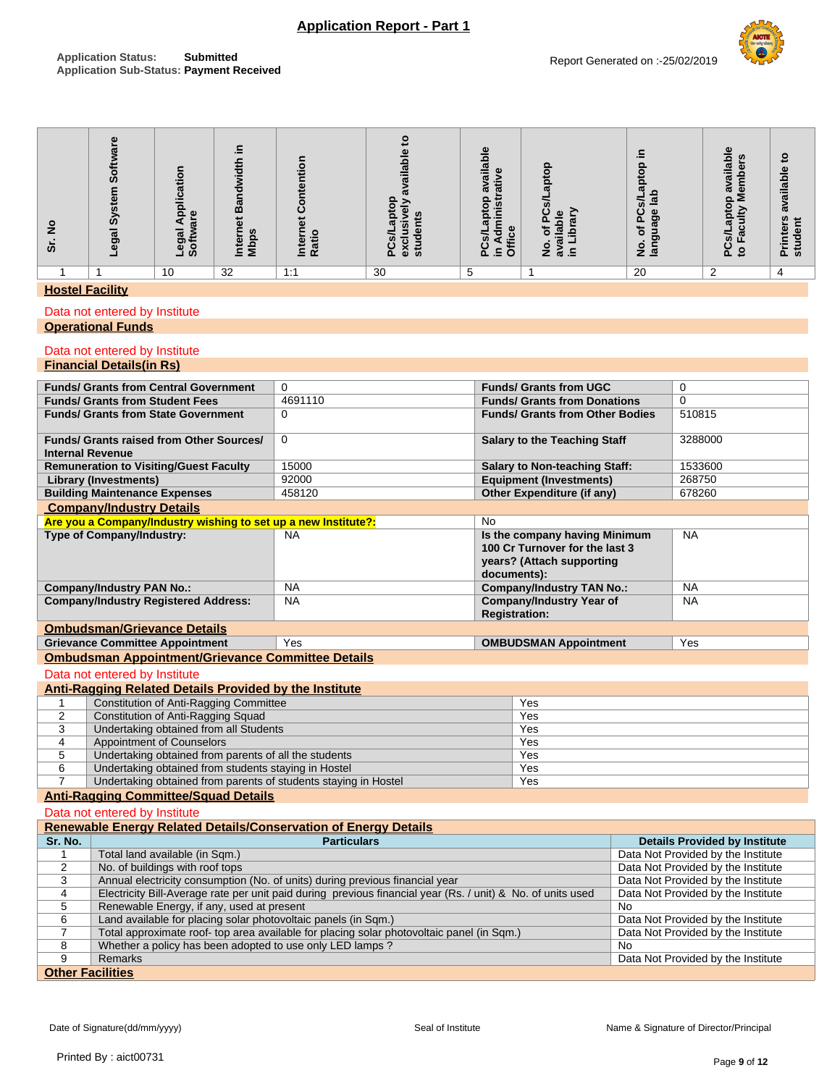# **Application Report - Part 1**

| <u>୦</u><br>$\bar{v}$ | ທ<br>$\omega$<br>egal | <u>.o</u><br>$\sim$<br>ပ္မ<br>$\overline{\mathbf{o}}$<br>മ<br>=<br>ฐ<br>ත<br>ತಿ ಪಿ | œ<br>ഗ<br><b>N</b> bp<br>Ĕ | $\circ$<br>÷<br>۵<br>Ratio<br>Inter | $\boldsymbol{\varpi}$<br>ႜႜ<br>€<br><u>5</u><br>en<br>stude<br>ၑ<br>ဥ<br>ô | $\omega$<br>ailal<br>യ<br>ā<br>œ<br>$\Omega$<br>ā<br><u>.ഗ</u><br>Ο<br>æ<br>ê<br>둥<br>Ξ.<br>õ. | Φ<br>⋍<br>ldabi<br>৳<br>흐<br>O<br>ີ ສ<br>z | ē<br>ā<br>ᆖ<br>ပ<br>ზ<br>$\sim$<br>৳<br>కె<br>$rac{6}{5}$ $rac{6}{5}$ | Φ<br>ņ<br>ailabl<br>۵Ď<br>$\overline{\omega}$<br>$\boldsymbol{\sigma}$<br>$\circ$<br>$\circ$<br>≥<br>ō<br>ಹ<br>ō<br>$\boldsymbol{a}$<br><b>SG</b><br>o<br>௳ | 요<br>ω<br>ō<br>흘<br>ω<br>ω<br>$\overline{5}$<br>nters<br>ᅙ<br>÷<br>$\sin$<br>ā. |
|-----------------------|-----------------------|------------------------------------------------------------------------------------|----------------------------|-------------------------------------|----------------------------------------------------------------------------|------------------------------------------------------------------------------------------------|--------------------------------------------|-----------------------------------------------------------------------|-------------------------------------------------------------------------------------------------------------------------------------------------------------|---------------------------------------------------------------------------------|
|                       |                       | 10                                                                                 | 32                         | 1:1                                 | 30                                                                         | 5                                                                                              |                                            | 20                                                                    | ົ                                                                                                                                                           | 4                                                                               |

### **Hostel Facility**

### Data not entered by Institute

### **Operational Funds**

#### Data not entered by Institute **Financial Details(in Rs)**

| <b>Funds/ Grants from Central Government</b>                                         | $\Omega$                                                                                                    | <b>Funds/ Grants from UGC</b>                                                                               |           | $\mathbf 0$                          |  |  |
|--------------------------------------------------------------------------------------|-------------------------------------------------------------------------------------------------------------|-------------------------------------------------------------------------------------------------------------|-----------|--------------------------------------|--|--|
| <b>Funds/ Grants from Student Fees</b>                                               | 4691110                                                                                                     | <b>Funds/ Grants from Donations</b>                                                                         |           | $\Omega$                             |  |  |
| <b>Funds/ Grants from State Government</b>                                           | $\Omega$                                                                                                    | <b>Funds/ Grants from Other Bodies</b>                                                                      |           | 510815                               |  |  |
| <b>Funds/ Grants raised from Other Sources/</b><br><b>Internal Revenue</b>           | $\mathbf 0$                                                                                                 | <b>Salary to the Teaching Staff</b>                                                                         |           | 3288000                              |  |  |
| <b>Remuneration to Visiting/Guest Faculty</b>                                        | 15000                                                                                                       | <b>Salary to Non-teaching Staff:</b>                                                                        |           | 1533600                              |  |  |
| <b>Library (Investments)</b>                                                         | 92000                                                                                                       | <b>Equipment (Investments)</b>                                                                              |           | 268750                               |  |  |
| <b>Building Maintenance Expenses</b>                                                 | 458120                                                                                                      | Other Expenditure (if any)                                                                                  |           | 678260                               |  |  |
| <b>Company/Industry Details</b>                                                      |                                                                                                             |                                                                                                             |           |                                      |  |  |
| Are you a Company/Industry wishing to set up a new Institute?:                       |                                                                                                             | <b>No</b>                                                                                                   |           |                                      |  |  |
| Type of Company/Industry:                                                            | <b>NA</b>                                                                                                   | Is the company having Minimum<br>100 Cr Turnover for the last 3<br>years? (Attach supporting<br>documents): |           | <b>NA</b>                            |  |  |
| <b>Company/Industry PAN No.:</b>                                                     | <b>NA</b>                                                                                                   | <b>Company/Industry TAN No.:</b>                                                                            |           | <b>NA</b>                            |  |  |
| <b>Company/Industry Registered Address:</b>                                          | <b>NA</b>                                                                                                   | <b>Company/Industry Year of</b><br><b>Registration:</b>                                                     |           | <b>NA</b>                            |  |  |
| <b>Ombudsman/Grievance Details</b>                                                   |                                                                                                             |                                                                                                             |           |                                      |  |  |
| <b>Grievance Committee Appointment</b>                                               | Yes                                                                                                         | <b>OMBUDSMAN Appointment</b>                                                                                |           | Yes                                  |  |  |
| <b>Ombudsman Appointment/Grievance Committee Details</b>                             |                                                                                                             |                                                                                                             |           |                                      |  |  |
| Data not entered by Institute                                                        |                                                                                                             |                                                                                                             |           |                                      |  |  |
| Anti-Ragging Related Details Provided by the Institute                               |                                                                                                             |                                                                                                             |           |                                      |  |  |
| <b>Constitution of Anti-Ragging Committee</b><br>1                                   |                                                                                                             | Yes                                                                                                         |           |                                      |  |  |
| $\overline{2}$<br>Constitution of Anti-Ragging Squad                                 |                                                                                                             | Yes                                                                                                         |           |                                      |  |  |
| 3<br>Undertaking obtained from all Students                                          |                                                                                                             | Yes                                                                                                         |           |                                      |  |  |
| <b>Appointment of Counselors</b><br>4                                                |                                                                                                             | Yes                                                                                                         |           |                                      |  |  |
| 5                                                                                    | Undertaking obtained from parents of all the students                                                       |                                                                                                             |           |                                      |  |  |
|                                                                                      |                                                                                                             | Yes                                                                                                         |           |                                      |  |  |
| 6<br>Undertaking obtained from students staying in Hostel                            |                                                                                                             | Yes                                                                                                         |           |                                      |  |  |
| $\overline{7}$<br>Undertaking obtained from parents of students staying in Hostel    |                                                                                                             | Yes                                                                                                         |           |                                      |  |  |
| <b>Anti-Ragging Committee/Squad Details</b>                                          |                                                                                                             |                                                                                                             |           |                                      |  |  |
| Data not entered by Institute                                                        |                                                                                                             |                                                                                                             |           |                                      |  |  |
| <b>Renewable Energy Related Details/Conservation of Energy Details</b>               |                                                                                                             |                                                                                                             |           |                                      |  |  |
| Sr. No.                                                                              | <b>Particulars</b>                                                                                          |                                                                                                             |           | <b>Details Provided by Institute</b> |  |  |
| Total land available (in Sqm.)<br>1                                                  |                                                                                                             |                                                                                                             |           | Data Not Provided by the Institute   |  |  |
| No. of buildings with roof tops<br>2                                                 |                                                                                                             |                                                                                                             |           | Data Not Provided by the Institute   |  |  |
| 3                                                                                    | Annual electricity consumption (No. of units) during previous financial year                                |                                                                                                             |           | Data Not Provided by the Institute   |  |  |
| 4                                                                                    | Electricity Bill-Average rate per unit paid during previous financial year (Rs. / unit) & No. of units used |                                                                                                             |           | Data Not Provided by the Institute   |  |  |
| 5<br>Renewable Energy, if any, used at present                                       |                                                                                                             |                                                                                                             | <b>No</b> |                                      |  |  |
| Land available for placing solar photovoltaic panels (in Sqm.)<br>6                  |                                                                                                             |                                                                                                             |           | Data Not Provided by the Institute   |  |  |
| 7                                                                                    | Total approximate roof- top area available for placing solar photovoltaic panel (in Sqm.)                   |                                                                                                             |           | Data Not Provided by the Institute   |  |  |
| 8<br>Whether a policy has been adopted to use only LED lamps?<br><b>Remarks</b><br>9 |                                                                                                             |                                                                                                             | <b>No</b> | Data Not Provided by the Institute   |  |  |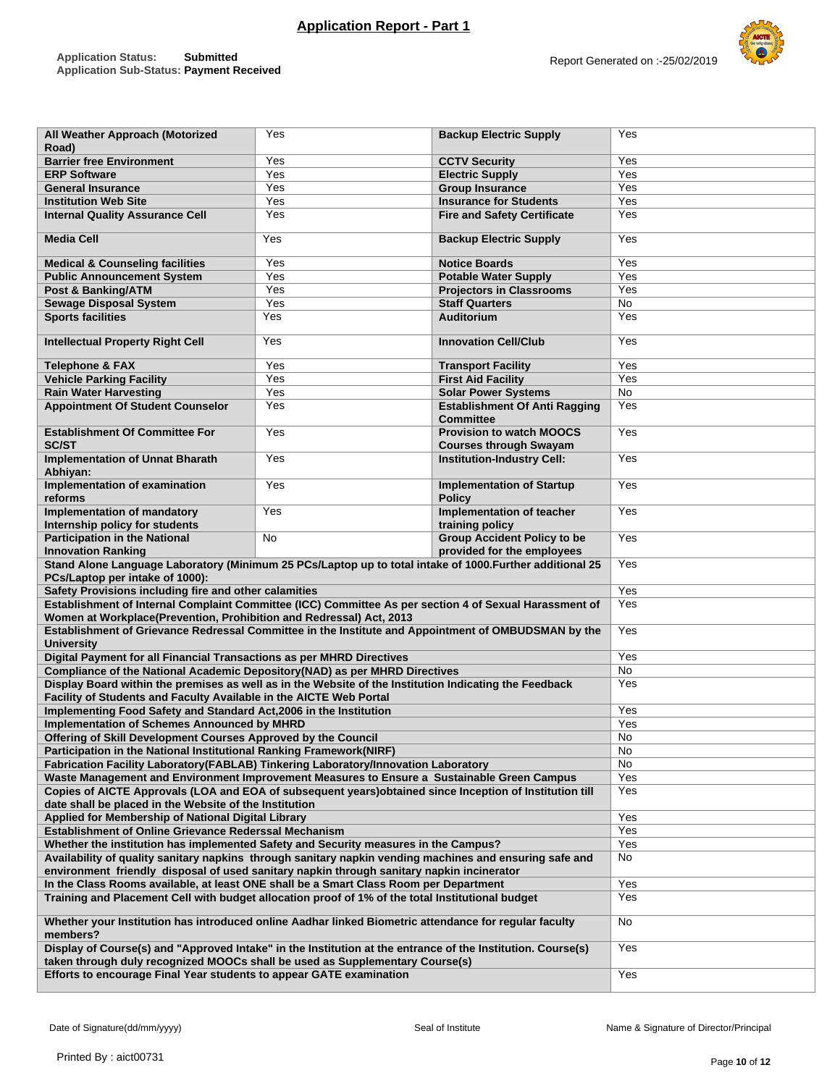Yes **Backup Electric Supply** Yes

**All Weather Approach (Motorized** 



| Road)                                                                                                                                                                                       |     |                                                                  |           |
|---------------------------------------------------------------------------------------------------------------------------------------------------------------------------------------------|-----|------------------------------------------------------------------|-----------|
| <b>Barrier free Environment</b>                                                                                                                                                             | Yes | <b>CCTV Security</b>                                             | Yes       |
| <b>ERP Software</b>                                                                                                                                                                         | Yes | <b>Electric Supply</b>                                           | Yes       |
| <b>General Insurance</b>                                                                                                                                                                    | Yes | <b>Group Insurance</b>                                           | Yes       |
| <b>Institution Web Site</b>                                                                                                                                                                 | Yes | <b>Insurance for Students</b>                                    | Yes       |
| <b>Internal Quality Assurance Cell</b>                                                                                                                                                      | Yes | <b>Fire and Safety Certificate</b>                               | Yes       |
| <b>Media Cell</b>                                                                                                                                                                           | Yes | Yes                                                              |           |
| <b>Medical &amp; Counseling facilities</b>                                                                                                                                                  | Yes | <b>Notice Boards</b>                                             | Yes       |
| <b>Public Announcement System</b>                                                                                                                                                           | Yes | <b>Potable Water Supply</b>                                      | Yes       |
| Post & Banking/ATM                                                                                                                                                                          | Yes | <b>Projectors in Classrooms</b>                                  | Yes       |
| <b>Sewage Disposal System</b>                                                                                                                                                               | Yes | <b>Staff Quarters</b>                                            | No        |
| <b>Sports facilities</b>                                                                                                                                                                    | Yes | <b>Auditorium</b>                                                | Yes       |
| <b>Intellectual Property Right Cell</b>                                                                                                                                                     | Yes | <b>Innovation Cell/Club</b>                                      | Yes       |
| <b>Telephone &amp; FAX</b>                                                                                                                                                                  | Yes | <b>Transport Facility</b>                                        | Yes       |
| <b>Vehicle Parking Facility</b>                                                                                                                                                             | Yes | <b>First Aid Facility</b>                                        | Yes       |
| <b>Rain Water Harvesting</b>                                                                                                                                                                | Yes | <b>Solar Power Systems</b>                                       | No        |
| <b>Appointment Of Student Counselor</b>                                                                                                                                                     | Yes | <b>Establishment Of Anti Ragging</b><br><b>Committee</b>         | Yes       |
| <b>Establishment Of Committee For</b><br><b>SC/ST</b>                                                                                                                                       | Yes | <b>Provision to watch MOOCS</b><br><b>Courses through Swayam</b> | Yes       |
| <b>Implementation of Unnat Bharath</b><br>Abhiyan:                                                                                                                                          | Yes | <b>Institution-Industry Cell:</b>                                | Yes       |
| Implementation of examination<br>reforms                                                                                                                                                    | Yes | <b>Implementation of Startup</b><br><b>Policy</b>                | Yes       |
| Implementation of mandatory<br>Internship policy for students                                                                                                                               | Yes | Implementation of teacher<br>training policy                     | Yes       |
| <b>Participation in the National</b><br><b>Innovation Ranking</b>                                                                                                                           | No  | <b>Group Accident Policy to be</b><br>provided for the employees | Yes       |
| Stand Alone Language Laboratory (Minimum 25 PCs/Laptop up to total intake of 1000. Further additional 25                                                                                    | Yes |                                                                  |           |
| PCs/Laptop per intake of 1000):                                                                                                                                                             |     |                                                                  |           |
| Safety Provisions including fire and other calamities                                                                                                                                       | Yes |                                                                  |           |
| Establishment of Internal Complaint Committee (ICC) Committee As per section 4 of Sexual Harassment of                                                                                      | Yes |                                                                  |           |
| Women at Workplace(Prevention, Prohibition and Redressal) Act, 2013                                                                                                                         |     |                                                                  |           |
| Establishment of Grievance Redressal Committee in the Institute and Appointment of OMBUDSMAN by the                                                                                         |     |                                                                  | Yes       |
| <b>University</b>                                                                                                                                                                           |     |                                                                  |           |
| Digital Payment for all Financial Transactions as per MHRD Directives                                                                                                                       |     |                                                                  | Yes       |
| Compliance of the National Academic Depository(NAD) as per MHRD Directives                                                                                                                  |     |                                                                  | <b>No</b> |
| Display Board within the premises as well as in the Website of the Institution Indicating the Feedback                                                                                      |     |                                                                  | Yes       |
| Facility of Students and Faculty Available in the AICTE Web Portal                                                                                                                          |     |                                                                  |           |
| Implementing Food Safety and Standard Act, 2006 in the Institution                                                                                                                          |     |                                                                  | Yes       |
| <b>Implementation of Schemes Announced by MHRD</b>                                                                                                                                          |     |                                                                  | Yes       |
| Offering of Skill Development Courses Approved by the Council                                                                                                                               |     |                                                                  | No        |
| Participation in the National Institutional Ranking Framework(NIRF)                                                                                                                         |     |                                                                  | No        |
| Fabrication Facility Laboratory(FABLAB) Tinkering Laboratory/Innovation Laboratory                                                                                                          |     |                                                                  | No        |
| Waste Management and Environment Improvement Measures to Ensure a Sustainable Green Campus                                                                                                  |     |                                                                  | Yes       |
| Copies of AICTE Approvals (LOA and EOA of subsequent years)obtained since Inception of Institution till                                                                                     |     |                                                                  | Yes       |
| date shall be placed in the Website of the Institution                                                                                                                                      |     |                                                                  |           |
| Applied for Membership of National Digital Library                                                                                                                                          |     |                                                                  | Yes       |
| Establishment of Online Grievance Rederssal Mechanism                                                                                                                                       | Yes |                                                                  |           |
| Whether the institution has implemented Safety and Security measures in the Campus?                                                                                                         | Yes |                                                                  |           |
| Availability of quality sanitary napkins through sanitary napkin vending machines and ensuring safe and                                                                                     | No  |                                                                  |           |
| environment friendly disposal of used sanitary napkin through sanitary napkin incinerator                                                                                                   |     |                                                                  |           |
| In the Class Rooms available, at least ONE shall be a Smart Class Room per Department                                                                                                       | Yes |                                                                  |           |
| Training and Placement Cell with budget allocation proof of 1% of the total Institutional budget                                                                                            |     |                                                                  | Yes       |
| Whether your Institution has introduced online Aadhar linked Biometric attendance for regular faculty<br>members?                                                                           |     |                                                                  | No        |
| Display of Course(s) and "Approved Intake" in the Institution at the entrance of the Institution. Course(s)<br>taken through duly recognized MOOCs shall be used as Supplementary Course(s) |     |                                                                  | Yes       |
| Efforts to encourage Final Year students to appear GATE examination                                                                                                                         | Yes |                                                                  |           |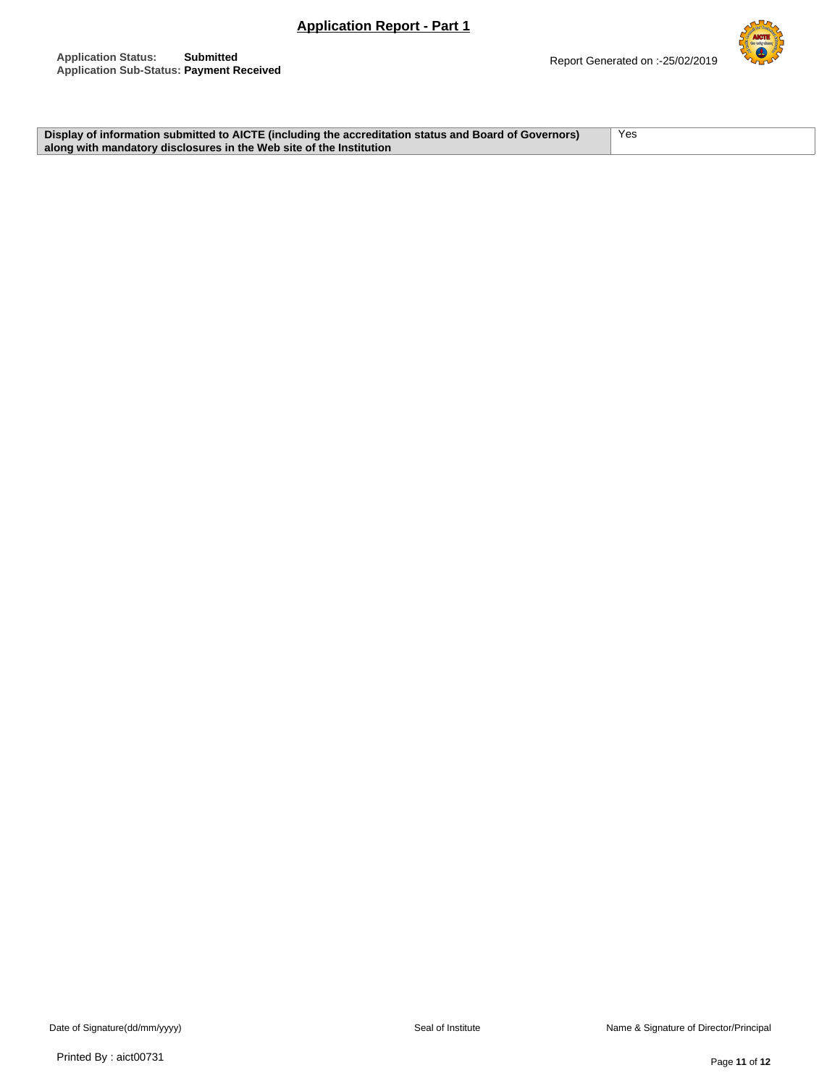

**Display of information submitted to AICTE (including the accreditation status and Board of Governors) along with mandatory disclosures in the Web site of the Institution** Yes